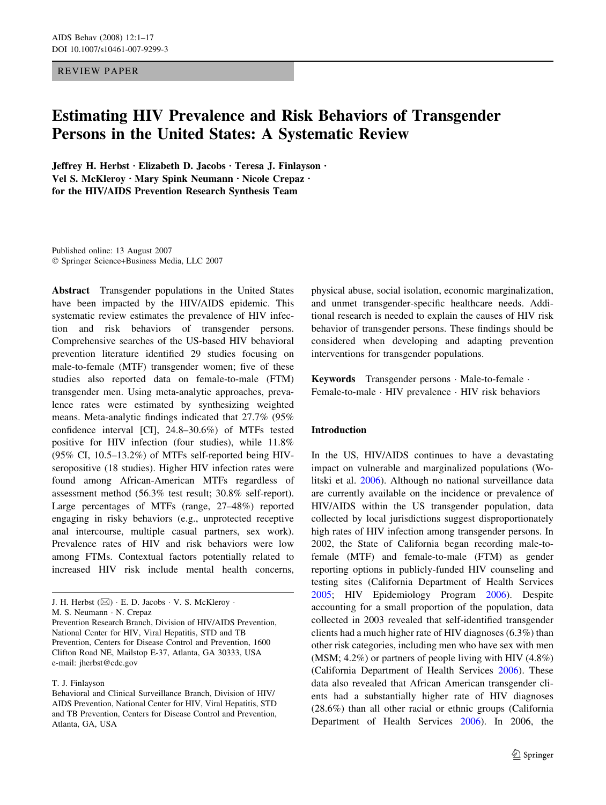## REVIEW PAPER

# Estimating HIV Prevalence and Risk Behaviors of Transgender Persons in the United States: A Systematic Review

Jeffrey H. Herbst · Elizabeth D. Jacobs · Teresa J. Finlayson · Vel S. McKleroy · Mary Spink Neumann · Nicole Crepaz · for the HIV/AIDS Prevention Research Synthesis Team

Published online: 13 August 2007 Springer Science+Business Media, LLC 2007

Abstract Transgender populations in the United States have been impacted by the HIV/AIDS epidemic. This systematic review estimates the prevalence of HIV infection and risk behaviors of transgender persons. Comprehensive searches of the US-based HIV behavioral prevention literature identified 29 studies focusing on male-to-female (MTF) transgender women; five of these studies also reported data on female-to-male (FTM) transgender men. Using meta-analytic approaches, prevalence rates were estimated by synthesizing weighted means. Meta-analytic findings indicated that 27.7% (95% confidence interval [CI], 24.8–30.6%) of MTFs tested positive for HIV infection (four studies), while 11.8% (95% CI, 10.5–13.2%) of MTFs self-reported being HIVseropositive (18 studies). Higher HIV infection rates were found among African-American MTFs regardless of assessment method (56.3% test result; 30.8% self-report). Large percentages of MTFs (range, 27–48%) reported engaging in risky behaviors (e.g., unprotected receptive anal intercourse, multiple casual partners, sex work). Prevalence rates of HIV and risk behaviors were low among FTMs. Contextual factors potentially related to increased HIV risk include mental health concerns,

physical abuse, social isolation, economic marginalization, and unmet transgender-specific healthcare needs. Additional research is needed to explain the causes of HIV risk behavior of transgender persons. These findings should be considered when developing and adapting prevention interventions for transgender populations.

Keywords Transgender persons · Male-to-female · Female-to-male · HIV prevalence · HIV risk behaviors

## Introduction

In the US, HIV/AIDS continues to have a devastating impact on vulnerable and marginalized populations (Wolitski et al. [2006](#page-16-0)). Although no national surveillance data are currently available on the incidence or prevalence of HIV/AIDS within the US transgender population, data collected by local jurisdictions suggest disproportionately high rates of HIV infection among transgender persons. In 2002, the State of California began recording male-tofemale (MTF) and female-to-male (FTM) as gender reporting options in publicly-funded HIV counseling and testing sites (California Department of Health Services [2005](#page-13-0); HIV Epidemiology Program [2006\)](#page-14-0). Despite accounting for a small proportion of the population, data collected in 2003 revealed that self-identified transgender clients had a much higher rate of HIV diagnoses (6.3%) than other risk categories, including men who have sex with men (MSM; 4.2%) or partners of people living with HIV (4.8%) (California Department of Health Services [2006\)](#page-13-0). These data also revealed that African American transgender clients had a substantially higher rate of HIV diagnoses (28.6%) than all other racial or ethnic groups (California Department of Health Services [2006\)](#page-13-0). In 2006, the

J. H. Herbst  $(\boxtimes) \cdot$  E. D. Jacobs  $\cdot$  V. S. McKleroy  $\cdot$ 

M. S. Neumann · N. Crepaz

Prevention Research Branch, Division of HIV/AIDS Prevention, National Center for HIV, Viral Hepatitis, STD and TB Prevention, Centers for Disease Control and Prevention, 1600 Clifton Road NE, Mailstop E-37, Atlanta, GA 30333, USA e-mail: jherbst@cdc.gov

T. J. Finlayson

Behavioral and Clinical Surveillance Branch, Division of HIV/ AIDS Prevention, National Center for HIV, Viral Hepatitis, STD and TB Prevention, Centers for Disease Control and Prevention, Atlanta, GA, USA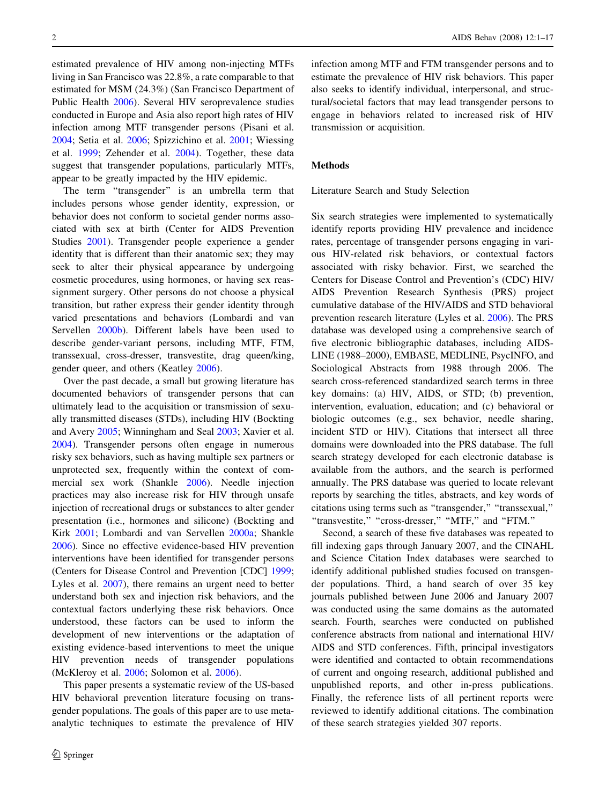estimated prevalence of HIV among non-injecting MTFs living in San Francisco was 22.8%, a rate comparable to that estimated for MSM (24.3%) (San Francisco Department of Public Health [2006](#page-15-0)). Several HIV seroprevalence studies conducted in Europe and Asia also report high rates of HIV infection among MTF transgender persons (Pisani et al. [2004;](#page-15-0) Setia et al. [2006;](#page-15-0) Spizzichino et al. [2001;](#page-16-0) Wiessing et al. [1999](#page-16-0); Zehender et al. [2004](#page-16-0)). Together, these data suggest that transgender populations, particularly MTFs, appear to be greatly impacted by the HIV epidemic.

The term "transgender" is an umbrella term that includes persons whose gender identity, expression, or behavior does not conform to societal gender norms associated with sex at birth (Center for AIDS Prevention Studies [2001\)](#page-14-0). Transgender people experience a gender identity that is different than their anatomic sex; they may seek to alter their physical appearance by undergoing cosmetic procedures, using hormones, or having sex reassignment surgery. Other persons do not choose a physical transition, but rather express their gender identity through varied presentations and behaviors (Lombardi and van Servellen [2000b](#page-14-0)). Different labels have been used to describe gender-variant persons, including MTF, FTM, transsexual, cross-dresser, transvestite, drag queen/king, gender queer, and others (Keatley [2006\)](#page-14-0).

Over the past decade, a small but growing literature has documented behaviors of transgender persons that can ultimately lead to the acquisition or transmission of sexually transmitted diseases (STDs), including HIV (Bockting and Avery [2005;](#page-13-0) Winningham and Seal [2003](#page-16-0); Xavier et al. [2004\)](#page-16-0). Transgender persons often engage in numerous risky sex behaviors, such as having multiple sex partners or unprotected sex, frequently within the context of commercial sex work (Shankle [2006](#page-15-0)). Needle injection practices may also increase risk for HIV through unsafe injection of recreational drugs or substances to alter gender presentation (i.e., hormones and silicone) (Bockting and Kirk [2001;](#page-13-0) Lombardi and van Servellen [2000a;](#page-14-0) Shankle [2006\)](#page-15-0). Since no effective evidence-based HIV prevention interventions have been identified for transgender persons (Centers for Disease Control and Prevention [CDC] [1999](#page-14-0); Lyles et al. [2007](#page-15-0)), there remains an urgent need to better understand both sex and injection risk behaviors, and the contextual factors underlying these risk behaviors. Once understood, these factors can be used to inform the development of new interventions or the adaptation of existing evidence-based interventions to meet the unique HIV prevention needs of transgender populations (McKleroy et al. [2006](#page-15-0); Solomon et al. [2006\)](#page-16-0).

This paper presents a systematic review of the US-based HIV behavioral prevention literature focusing on transgender populations. The goals of this paper are to use metaanalytic techniques to estimate the prevalence of HIV infection among MTF and FTM transgender persons and to estimate the prevalence of HIV risk behaviors. This paper also seeks to identify individual, interpersonal, and structural/societal factors that may lead transgender persons to engage in behaviors related to increased risk of HIV transmission or acquisition.

## Methods

#### Literature Search and Study Selection

Six search strategies were implemented to systematically identify reports providing HIV prevalence and incidence rates, percentage of transgender persons engaging in various HIV-related risk behaviors, or contextual factors associated with risky behavior. First, we searched the Centers for Disease Control and Prevention's (CDC) HIV/ AIDS Prevention Research Synthesis (PRS) project cumulative database of the HIV/AIDS and STD behavioral prevention research literature (Lyles et al. [2006](#page-15-0)). The PRS database was developed using a comprehensive search of five electronic bibliographic databases, including AIDS-LINE (1988–2000), EMBASE, MEDLINE, PsycINFO, and Sociological Abstracts from 1988 through 2006. The search cross-referenced standardized search terms in three key domains: (a) HIV, AIDS, or STD; (b) prevention, intervention, evaluation, education; and (c) behavioral or biologic outcomes (e.g., sex behavior, needle sharing, incident STD or HIV). Citations that intersect all three domains were downloaded into the PRS database. The full search strategy developed for each electronic database is available from the authors, and the search is performed annually. The PRS database was queried to locate relevant reports by searching the titles, abstracts, and key words of citations using terms such as ''transgender,'' ''transsexual,'' "transvestite," "cross-dresser," "MTF," and "FTM."

Second, a search of these five databases was repeated to fill indexing gaps through January 2007, and the CINAHL and Science Citation Index databases were searched to identify additional published studies focused on transgender populations. Third, a hand search of over 35 key journals published between June 2006 and January 2007 was conducted using the same domains as the automated search. Fourth, searches were conducted on published conference abstracts from national and international HIV/ AIDS and STD conferences. Fifth, principal investigators were identified and contacted to obtain recommendations of current and ongoing research, additional published and unpublished reports, and other in-press publications. Finally, the reference lists of all pertinent reports were reviewed to identify additional citations. The combination of these search strategies yielded 307 reports.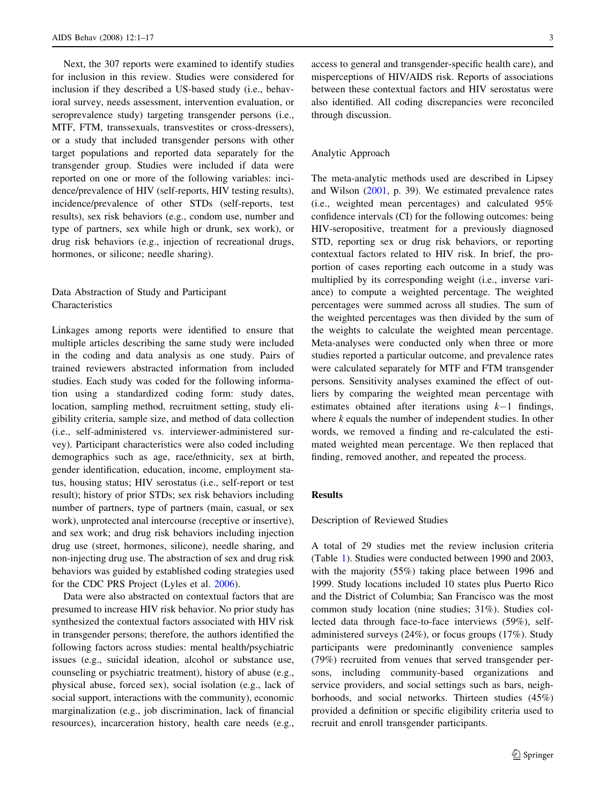Next, the 307 reports were examined to identify studies for inclusion in this review. Studies were considered for inclusion if they described a US-based study (i.e., behavioral survey, needs assessment, intervention evaluation, or seroprevalence study) targeting transgender persons (i.e., MTF, FTM, transsexuals, transvestites or cross-dressers), or a study that included transgender persons with other target populations and reported data separately for the transgender group. Studies were included if data were reported on one or more of the following variables: incidence/prevalence of HIV (self-reports, HIV testing results), incidence/prevalence of other STDs (self-reports, test results), sex risk behaviors (e.g., condom use, number and type of partners, sex while high or drunk, sex work), or drug risk behaviors (e.g., injection of recreational drugs, hormones, or silicone; needle sharing).

## Data Abstraction of Study and Participant Characteristics

Linkages among reports were identified to ensure that multiple articles describing the same study were included in the coding and data analysis as one study. Pairs of trained reviewers abstracted information from included studies. Each study was coded for the following information using a standardized coding form: study dates, location, sampling method, recruitment setting, study eligibility criteria, sample size, and method of data collection (i.e., self-administered vs. interviewer-administered survey). Participant characteristics were also coded including demographics such as age, race/ethnicity, sex at birth, gender identification, education, income, employment status, housing status; HIV serostatus (i.e., self-report or test result); history of prior STDs; sex risk behaviors including number of partners, type of partners (main, casual, or sex work), unprotected anal intercourse (receptive or insertive), and sex work; and drug risk behaviors including injection drug use (street, hormones, silicone), needle sharing, and non-injecting drug use. The abstraction of sex and drug risk behaviors was guided by established coding strategies used for the CDC PRS Project (Lyles et al. [2006\)](#page-15-0).

Data were also abstracted on contextual factors that are presumed to increase HIV risk behavior. No prior study has synthesized the contextual factors associated with HIV risk in transgender persons; therefore, the authors identified the following factors across studies: mental health/psychiatric issues (e.g., suicidal ideation, alcohol or substance use, counseling or psychiatric treatment), history of abuse (e.g., physical abuse, forced sex), social isolation (e.g., lack of social support, interactions with the community), economic marginalization (e.g., job discrimination, lack of financial resources), incarceration history, health care needs (e.g.,

access to general and transgender-specific health care), and misperceptions of HIV/AIDS risk. Reports of associations between these contextual factors and HIV serostatus were also identified. All coding discrepancies were reconciled through discussion.

#### Analytic Approach

The meta-analytic methods used are described in Lipsey and Wilson ([2001,](#page-14-0) p. 39). We estimated prevalence rates (i.e., weighted mean percentages) and calculated 95% confidence intervals (CI) for the following outcomes: being HIV-seropositive, treatment for a previously diagnosed STD, reporting sex or drug risk behaviors, or reporting contextual factors related to HIV risk. In brief, the proportion of cases reporting each outcome in a study was multiplied by its corresponding weight (i.e., inverse variance) to compute a weighted percentage. The weighted percentages were summed across all studies. The sum of the weighted percentages was then divided by the sum of the weights to calculate the weighted mean percentage. Meta-analyses were conducted only when three or more studies reported a particular outcome, and prevalence rates were calculated separately for MTF and FTM transgender persons. Sensitivity analyses examined the effect of outliers by comparing the weighted mean percentage with estimates obtained after iterations using  $k-1$  findings, where k equals the number of independent studies. In other words, we removed a finding and re-calculated the estimated weighted mean percentage. We then replaced that finding, removed another, and repeated the process.

## Results

## Description of Reviewed Studies

A total of 29 studies met the review inclusion criteria (Table 1). Studies were conducted between 1990 and 2003, with the majority (55%) taking place between 1996 and 1999. Study locations included 10 states plus Puerto Rico and the District of Columbia; San Francisco was the most common study location (nine studies; 31%). Studies collected data through face-to-face interviews (59%), selfadministered surveys (24%), or focus groups (17%). Study participants were predominantly convenience samples (79%) recruited from venues that served transgender persons, including community-based organizations and service providers, and social settings such as bars, neighborhoods, and social networks. Thirteen studies (45%) provided a definition or specific eligibility criteria used to recruit and enroll transgender participants.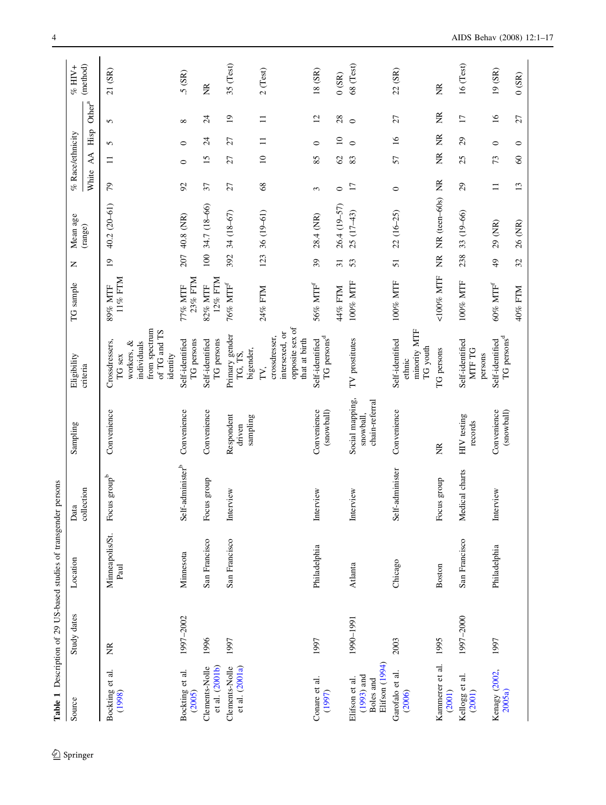|                                                               | Table 1 Description of 29 US-based studies of transgender |                         | persons                      |                                                |                                                                                                    |                       |                   |                  |                  |                     |                 |                    |             |
|---------------------------------------------------------------|-----------------------------------------------------------|-------------------------|------------------------------|------------------------------------------------|----------------------------------------------------------------------------------------------------|-----------------------|-------------------|------------------|------------------|---------------------|-----------------|--------------------|-------------|
| Source                                                        | Study dates                                               | Location                | Data                         | Sampling                                       | Eligibility                                                                                        | TG sample             | Z                 | Mean age         | % Race/ethnicity |                     |                 |                    | % HIV+      |
|                                                               |                                                           |                         | collection                   |                                                | criteria                                                                                           |                       |                   | (range)          | White            | AA                  | Hisp            | Other <sup>a</sup> | (method)    |
| ನ<br>Bockting et<br>(1998)                                    | E                                                         | Minneapolis/St.<br>Paul | Focus group <sup>b</sup>     | Convenience                                    | from spectrum<br>of TG and TS<br>Crossdressers,<br>workers, &<br>individuals<br>identity<br>TG sex | 11% FTM<br>89% MTF    | $\overline{0}$    | 40.2 (20-61)     | $\overline{7}9$  | $\equiv$            | 5               | 5                  | 21 (SR)     |
| Bockting et al.<br>(2005)                                     | 1997-2002                                                 | Minnesota               | Self-administer <sup>b</sup> | Convenience                                    | Self-identified<br>TG persons                                                                      | 23% FTM<br>77% MTF    | 207               | 40.8 (NR)        | $\mathcal{S}$    | $\circ$             | $\circ$         | ${}^{\circ}$       | 5(SR)       |
| et al. (2001b)<br>Clements-Nolle                              | 1996                                                      | San Francisco           | Focus group                  | Convenience                                    | Self-identified<br>TG persons                                                                      | 12% FTM<br>82% MTF    | 100               | 34.7 (18-66)     | 37               | $\overline{15}$     | $\overline{24}$ | $\overline{24}$    | E           |
| et al. (2001a)<br>Clements-Nolle                              | 1997                                                      | San Francisco           | Interview                    | Respondent<br>sampling<br>driven               | Primary gender<br>TG, TS,<br>bigender,                                                             | $76\%$ MTF            | 392               | 34 (18-67)       | 27               | 27                  | 27              | $\overline{0}$     | 35 (Test)   |
|                                                               |                                                           |                         |                              |                                                | opposite sex of<br>intersexed, or<br>crossdresser,<br>that at birth<br>FV,                         | 24% FTM               | 123               | 36 (19-61)       | 68               | $\overline{10}$     | $\equiv$        | $\equiv$           | $2$ (Test)  |
| Conare et al.<br>(1997)                                       | 1997                                                      | Philadelphia            | Interview                    | Convenience<br>(snowball)                      | TG persons <sup>d</sup><br>Self-identified                                                         | $56\%$ MTFf           | 39                | 28.4 (NR)        | 3                | 85                  | $\circ$         | $\overline{c}$     | $18(SR)$    |
|                                                               |                                                           |                         |                              |                                                |                                                                                                    | 44% FTM               | $\overline{31}$   | 26.4 (19-57)     | $\circ$          | $\mathcal{S}$       | $\overline{10}$ | 28                 | (SR)        |
| Elifson (1994)<br>$(1993)$ and<br>Elifson et al.<br>Boles and | 1990-1991                                                 | Atlanta                 | Interview                    | Social mapping,<br>chain-referral<br>snowball, | TV prostitutes                                                                                     | 100% MTF              | 53                | $25(17-43)$      | 17               | 83                  | $\circ$         | $\circ$            | 68 (Test)   |
| Garofalo et al.<br>(2006)                                     | 2003                                                      | Chicago                 | Self-administer              | Convenience                                    | minority MTF<br>Self-identified<br>TG youth<br>ethnic                                              | 100% MTF              | 51                | $22(16-25)$      | $\circ$          | 57                  | $\tilde{16}$    | 27                 | 22 (SR)     |
| Kammerer et al.<br>(2001)                                     | 1995                                                      | <b>Boston</b>           | Focus group                  | ž                                              | TG persons                                                                                         | <100% MTF             | $\widetilde{\Xi}$ | NR (teen-60s) NR |                  | ž                   | ž               | ž                  | ž           |
| Kellogg et al.<br>(2001)                                      | 1997-2000                                                 | San Francisco           | Medical charts               | HIV testing<br>records                         | Self-identified<br>MTF TG<br>persons                                                               | 100% MTF              | 238               | 33 (19-66)       | 29               | 25                  | $\mathfrak{S}$  | $\overline{17}$    | $16$ (Test) |
| Kenagy (2002,<br>2005a                                        | 1997                                                      | Philadelphia            | Interview                    | (snowball)<br>Convenience                      | TG persons <sup>d</sup><br>Self-identified                                                         | $60\%$ MTF $^{\rm f}$ | $\overline{6}$    | 29 (NR)          | $\equiv$         | 73                  | $\circ$         | $\tilde{16}$       | 19 (SR)     |
|                                                               |                                                           |                         |                              |                                                |                                                                                                    | 40% FTM               | $\mathfrak{L}$    | 26 (NR)          | 13               | $\pmb{\mathcal{S}}$ | $\circ$         | $\overline{27}$    | (SR)        |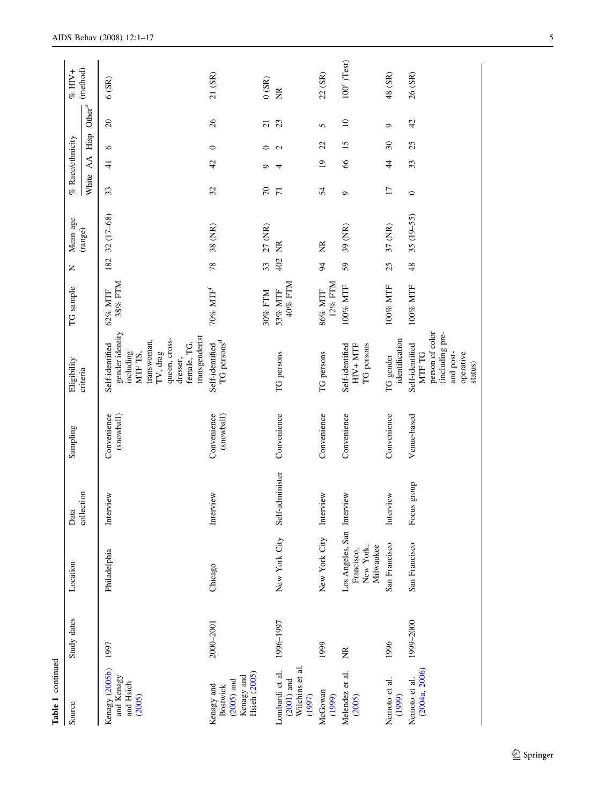| Table 1 continued                                                                  |             |                                                                    |                 |                           |                                                                                                                                                     |                       |                |                   |                  |                 |              |                    |                      |
|------------------------------------------------------------------------------------|-------------|--------------------------------------------------------------------|-----------------|---------------------------|-----------------------------------------------------------------------------------------------------------------------------------------------------|-----------------------|----------------|-------------------|------------------|-----------------|--------------|--------------------|----------------------|
| Source                                                                             | Study dates | Location                                                           | Data            | Sampling                  | Eligibility                                                                                                                                         | TG sample             | z              | Mean age          | % Race/ethnicity |                 |              |                    | $\%$ HIV+            |
|                                                                                    |             |                                                                    | collection      |                           | criteria                                                                                                                                            |                       |                | (range)           | White            | AA.             | Hisp         | Other <sup>a</sup> | (method)             |
| Kenagy (2005b)<br>and Kenagy<br>and Hsieh<br>(2005)                                | 1997        | Philadelphia                                                       | Interview       | Convenience<br>(snowball) | gender identity<br>transgenderist<br>queen, cross-<br>transwoman,<br>female, TG,<br>Self-identified<br>TV, drag<br>including<br>MTF TS,<br>dresser, | 38% FTM<br>62% MTF    | 182            | 32 (17-68)        | 33               | $\frac{4}{1}$   | $\circ$      | $\Omega$           | 6(SR)                |
| <b>Hsieh</b> (2005)<br>Kenagy and<br>$(2005)$ and<br>Kenagy and<br><b>Bostwick</b> | 2000-2001   | Chicago                                                            | Interview       | Convenience<br>(snowball) | TG persons <sup>d</sup><br>Self-identified                                                                                                          | $70\%$ MTF $^{\rm f}$ | 78             | 38 (NR)           | 32               | 42              | $\circ$      | $\delta$           | 21 (SR)              |
|                                                                                    |             |                                                                    |                 |                           |                                                                                                                                                     | 30% FTM               | 33             | 27 (NR)           | $\sqrt{2}$       | െ               | $\circ$      | $\overline{c}$     | (SR)                 |
| Wilchins et al.<br>Lombardi et al.<br>$(2001)$ and<br>(1997)                       | 1996-1997   | New York City                                                      | Self-administer | Convenience               | TG persons                                                                                                                                          | 40% FTM<br>53% MTF    | 402            | Z                 | $\overline{71}$  | 4               | $\mathbf{C}$ | 23                 | E                    |
| McGowan<br>(1999)                                                                  | 1999        | New York City                                                      | Interview       | Convenience               | TG persons                                                                                                                                          | 12% FTM<br>86% MTF    | $\overline{5}$ | $\widetilde{\Xi}$ | 54               | $\overline{1}9$ | 22           | 5                  | 22 (SR)              |
| Melendez et al.<br>(2005)                                                          | Ĕ           | Los Angeles, San Interview<br>Milwaukee<br>New York,<br>Francisco, |                 | Convenience               | Self-identified<br>$HIV+MTF$<br>TG persons                                                                                                          | 100% MTF              | 59             | 39 (NR)           | $\circ$          | $\infty$        | 15           | $\approx$          | $100^{\circ}$ (Test) |
| Nemoto et al.<br>(1999)                                                            | 1996        | San Francisco                                                      | Interview       | Convenience               | identification<br>TG gender                                                                                                                         | 100% MTF              | 25             | 37 (NR)           | $\overline{17}$  | $\ddot{4}$      | $30\,$       | $\circ$            | 48 (SR)              |
| (2004a, 2006)<br>Nemoto et al.                                                     | 1999-2000   | San Francisco                                                      | Focus group     | Venue-based               | person of color<br>(including pre-<br>Self-identified<br>operative<br>MTF TG<br>and post-<br>status)                                                | $100\%$ MTF           | 48             | 35 (19-55)        | $\circ$          | 33              | 25           | 42                 | 26 (SR)              |

 $\underline{\textcircled{\tiny 2}}$  Springer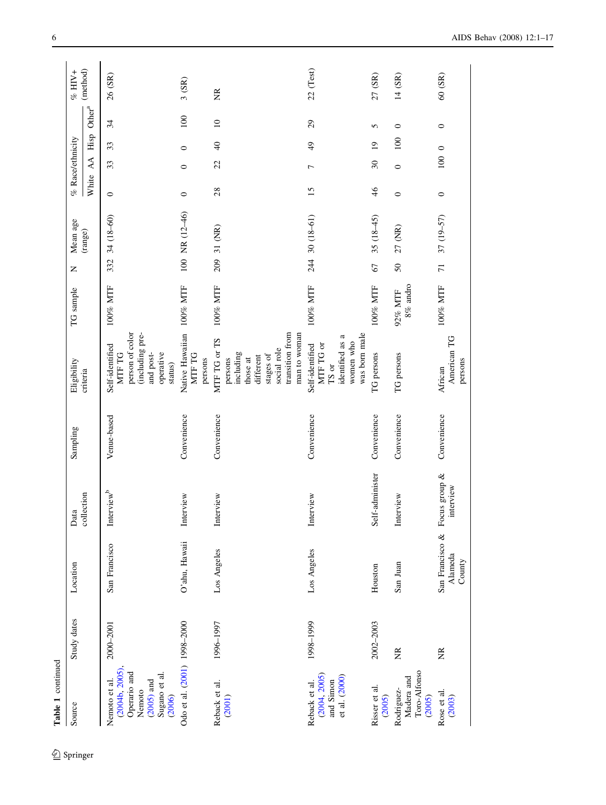| Table 1 continued                                                                                   |                   |                                      |                            |             |                                                                                                                              |                        |                |                    |                  |                               |                |                    |                   |
|-----------------------------------------------------------------------------------------------------|-------------------|--------------------------------------|----------------------------|-------------|------------------------------------------------------------------------------------------------------------------------------|------------------------|----------------|--------------------|------------------|-------------------------------|----------------|--------------------|-------------------|
| Source                                                                                              | Study dates       | Location                             | Data                       | Sampling    | Eligibility                                                                                                                  | TG sample              | Z              | Mean age           | % Race/ethnicity |                               |                |                    | $\%$ HIV+         |
|                                                                                                     |                   |                                      | collection                 |             | criteria                                                                                                                     |                        |                | (range)            | White            | AA                            | Hisp           | Other <sup>a</sup> | (method)          |
| (2004b, 2005)<br>Operario and<br>Sugano et al.<br>Nemoto et al.<br>$(2005)$ and<br>Nemoto<br>(2006) | 2000-2001         | San Francisco                        | Interview <sup>b</sup>     | Venue-based | person of color<br>(including pre-<br>Self-identified<br>operative<br>MTF TG<br>and post-<br>status)                         | 100% MTF               | 332            | 34 (18-60)         | $\circ$          | 33                            | 33             | 34                 | 26 (SR)           |
| Odo et al. (2001) 1998-2000                                                                         |                   | O'ahu, Hawaii                        | Interview                  | Convenience | Native Hawaiian 100% MTF<br>MTF TG<br>persons                                                                                |                        |                | $100$ NR $(12-46)$ | $\circ$          | $\circ$                       | $\circ$        | 100                | 3(SR)             |
| Reback et al.<br>(2001)                                                                             | 1996-1997         | Los Angeles                          | Interview                  | Convenience | transition from<br>man to woman<br>MTF TG or TS<br>social role<br>including<br>stages of<br>different<br>persons<br>those at | 100% MTF               | 209            | 31 (NR)            | 28               | $\mathcal{Z}$                 | $\Theta$       | $\overline{10}$    | $\widetilde{\Xi}$ |
| (2004, 2005)<br>et al. (2000)<br>and Simon<br>Reback et al.                                         | 1998-1999         | Los Angeles                          | Interview                  | Convenience | was born male<br>identified as a<br>women who<br>MTF TG or<br>Self-identified<br>TS or                                       | 100% MTF               |                | 244 30 (18-61)     | 15               | $\overline{ }$                | $\frac{4}{9}$  | $\overline{29}$    | 22 (Test)         |
| Risser et al.<br>(2005)                                                                             | 2002-2003         | Houston                              | Self-administer            | Convenience | TG persons                                                                                                                   | 100% MTF               | 67             | $35(18-45)$        | 46               | $\overline{\mathcal{E}}$      | $\overline{0}$ | 5                  | 27 (SR)           |
| Toro-Alfonso<br>Madera and<br>Rodriguez-<br>(2005)                                                  | $\widetilde{\Xi}$ | San Juan                             | Interview                  | Convenience | TG persons                                                                                                                   | $8\%$ andro<br>92% MTF | 50             | 27 (NR)            | $\circ$          | $\circ$                       | 100            | $\circ$            | 14 (SR)           |
| Rose et al.<br>(2003)                                                                               | $\widetilde{\Xi}$ | San Francisco &<br>Alameda<br>County | Focus group &<br>interview | Convenience | American TG<br>persons<br>African                                                                                            | 100% MTF               | $\overline{7}$ | 37 (19-57)         | $\circ$          | $100\hskip 4pt$ $0\hskip 4pt$ |                | $\circ$            | 60(SR)            |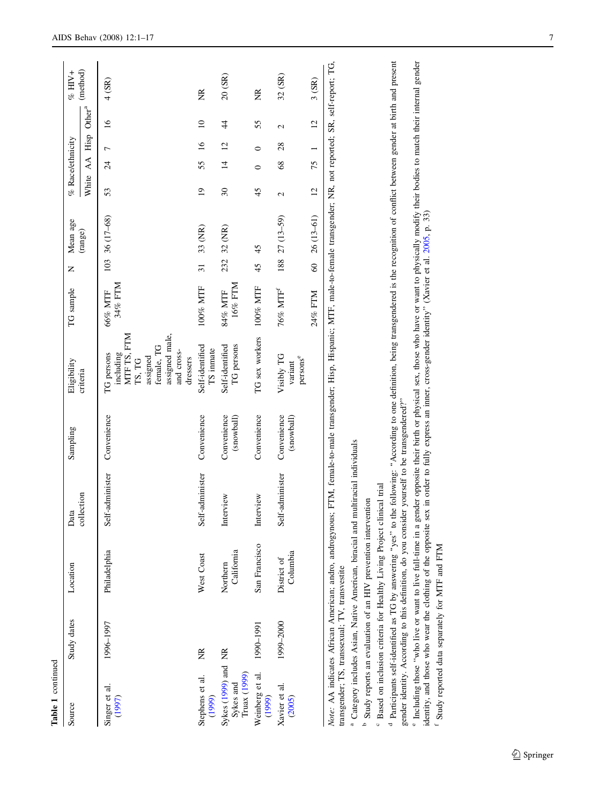| Table 1 continued                                |                                                |                                                                                                                                                  |                                                                                               |                           |                                                                                                                                                                                                                                                                                                                                                                    |                      |                            |                 |                  |                 |                 |          |
|--------------------------------------------------|------------------------------------------------|--------------------------------------------------------------------------------------------------------------------------------------------------|-----------------------------------------------------------------------------------------------|---------------------------|--------------------------------------------------------------------------------------------------------------------------------------------------------------------------------------------------------------------------------------------------------------------------------------------------------------------------------------------------------------------|----------------------|----------------------------|-----------------|------------------|-----------------|-----------------|----------|
| Source                                           | Study dates                                    | Location                                                                                                                                         | Data                                                                                          | Sampling                  | Eligibility                                                                                                                                                                                                                                                                                                                                                        | TG sample            | Mean age<br>Z              |                 | % Race/ethnicity |                 |                 | % $HIV+$ |
|                                                  |                                                |                                                                                                                                                  | collection                                                                                    |                           | criteria                                                                                                                                                                                                                                                                                                                                                           |                      | (range)                    | White           |                  | AA Hisp         | Other $a^a$     | (method) |
| Singer et al.<br>(1997)                          | 1996-1997                                      | Philadelphia                                                                                                                                     | f-administer<br>Sel                                                                           | Convenience               | MTF TS, FTM<br>assigned male,<br>female, TG<br>and cross-<br>including<br>TG persons<br>assigned<br>dressers<br>TS, TG                                                                                                                                                                                                                                             | 34% FTM<br>66% MTF   | 36 (17-68)<br>103          | 53              | $\overline{24}$  | $\overline{ }$  | $\frac{6}{1}$   | 4(SR)    |
| Stephens et al.<br>(1999)                        | E                                              | West Coast                                                                                                                                       | f-administer<br>Sel                                                                           | Convenience               | Self-identified<br>TS inmate                                                                                                                                                                                                                                                                                                                                       | 100% MTF             | 33 (NR)<br>$\overline{31}$ | $\overline{19}$ | 55               | $\overline{16}$ | $\overline{10}$ | Ĕ        |
| Sykes (1999) and NR<br>Truax (1999)<br>Sykes and |                                                | California<br>Northern                                                                                                                           | Interview                                                                                     | Convenience<br>(snowball) | Self-identified<br>TG persons                                                                                                                                                                                                                                                                                                                                      | 16% FTM<br>84% MTF   | 32 (NR)<br>232             | $30\,$          | $\overline{4}$   | $\overline{c}$  | 4               | 20 (SR)  |
| Weinberg et al.<br>(1999)                        | 1990-1991                                      | San Francisco                                                                                                                                    | Interview                                                                                     | Convenience               | TG sex workers                                                                                                                                                                                                                                                                                                                                                     | 100% MTF             | 45<br>45                   | 45              | $\circ$          | $\bullet$       | 55              | Ĕ        |
| Xavier et al.<br>(2005)                          | 1999-2000                                      | Columbia<br>District of                                                                                                                          | Self-administer                                                                               | Convenience<br>(snowball) | Visibly TG<br>$\mathbf{persons}^{\mathbf{e}}$<br>variant                                                                                                                                                                                                                                                                                                           | 76% MTF <sup>f</sup> | $27(13-59)$<br>188         | $\mathcal{L}$   | 68               | 28              | 2               | 32 (SR)  |
|                                                  |                                                |                                                                                                                                                  |                                                                                               |                           |                                                                                                                                                                                                                                                                                                                                                                    | 24% FTM              | $26(13-61)$<br>$\delta$    | 12              | 75               |                 | $\overline{c}$  | 3(SR)    |
| transgender; TS, transsexual; TV, transvestite   |                                                |                                                                                                                                                  |                                                                                               |                           | Note: AA indicates African American; andro, androgynous; FTM, female-to-male transgender; Hisp, Hispanic; MTF, male-to-female transgender; NR, not reported; SR, self-report; TG,                                                                                                                                                                                  |                      |                            |                 |                  |                 |                 |          |
|                                                  |                                                | Study reports an evaluation of an HIV prevention intervention                                                                                    | <sup>a</sup> Category includes Asian, Native American, biracial and multiracial individuals   |                           |                                                                                                                                                                                                                                                                                                                                                                    |                      |                            |                 |                  |                 |                 |          |
|                                                  |                                                | Based on inclusion criteria for Healthy Living Project clinical trial<br><sup>d</sup> Participants self-identified as TG by answering "yes" to t | gender identity. According to this definition, do you consider yourself to be transgendered?" |                           | the following: "According to one definition, being transgendered is the recognition of conflict between gender at birth and present                                                                                                                                                                                                                                |                      |                            |                 |                  |                 |                 |          |
|                                                  | Study reported data separately for MTF and FTM |                                                                                                                                                  |                                                                                               |                           | <sup>e</sup> Including those "who live or want to live full-time in a gender opposite their birth or physical sex, those who have or want to physically modify their bodies to match their internal gender<br>identity, and those who wear the clothing of the opposite sex in order to fully express an inner, cross-gender identity" (Xavier et al. 2005, p. 33) |                      |                            |                 |                  |                 |                 |          |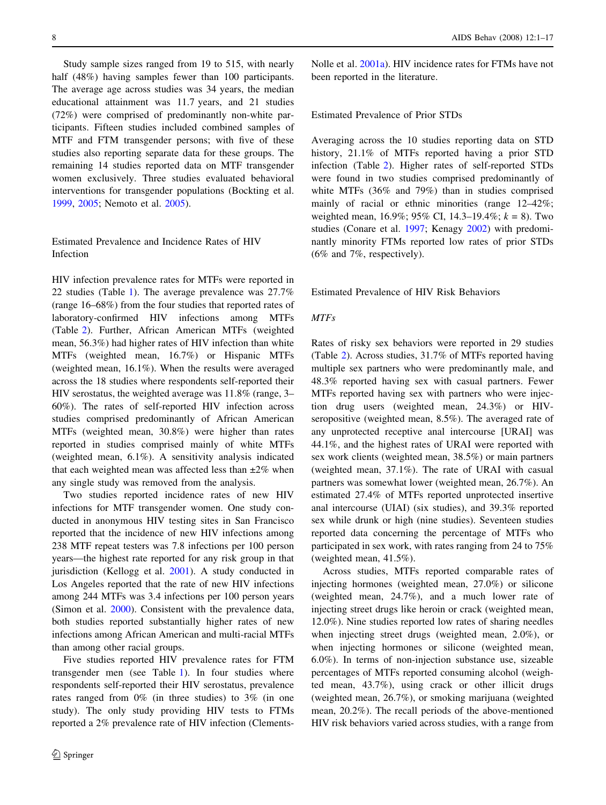Study sample sizes ranged from 19 to 515, with nearly half (48%) having samples fewer than 100 participants. The average age across studies was 34 years, the median educational attainment was 11.7 years, and 21 studies (72%) were comprised of predominantly non-white participants. Fifteen studies included combined samples of MTF and FTM transgender persons; with five of these studies also reporting separate data for these groups. The remaining 14 studies reported data on MTF transgender women exclusively. Three studies evaluated behavioral interventions for transgender populations (Bockting et al. [1999,](#page-13-0) [2005;](#page-13-0) Nemoto et al. [2005](#page-15-0)).

# Estimated Prevalence and Incidence Rates of HIV Infection

HIV infection prevalence rates for MTFs were reported in 22 studies (Table 1). The average prevalence was 27.7% (range 16–68%) from the four studies that reported rates of laboratory-confirmed HIV infections among MTFs (Table 2). Further, African American MTFs (weighted mean, 56.3%) had higher rates of HIV infection than white MTFs (weighted mean, 16.7%) or Hispanic MTFs (weighted mean, 16.1%). When the results were averaged across the 18 studies where respondents self-reported their HIV serostatus, the weighted average was 11.8% (range, 3– 60%). The rates of self-reported HIV infection across studies comprised predominantly of African American MTFs (weighted mean, 30.8%) were higher than rates reported in studies comprised mainly of white MTFs (weighted mean, 6.1%). A sensitivity analysis indicated that each weighted mean was affected less than  $\pm 2\%$  when any single study was removed from the analysis.

Two studies reported incidence rates of new HIV infections for MTF transgender women. One study conducted in anonymous HIV testing sites in San Francisco reported that the incidence of new HIV infections among 238 MTF repeat testers was 7.8 infections per 100 person years—the highest rate reported for any risk group in that jurisdiction (Kellogg et al. [2001\)](#page-14-0). A study conducted in Los Angeles reported that the rate of new HIV infections among 244 MTFs was 3.4 infections per 100 person years (Simon et al. [2000\)](#page-15-0). Consistent with the prevalence data, both studies reported substantially higher rates of new infections among African American and multi-racial MTFs than among other racial groups.

Five studies reported HIV prevalence rates for FTM transgender men (see Table 1). In four studies where respondents self-reported their HIV serostatus, prevalence rates ranged from 0% (in three studies) to 3% (in one study). The only study providing HIV tests to FTMs reported a 2% prevalence rate of HIV infection (ClementsNolle et al. [2001a](#page-14-0)). HIV incidence rates for FTMs have not been reported in the literature.

## Estimated Prevalence of Prior STDs

Averaging across the 10 studies reporting data on STD history, 21.1% of MTFs reported having a prior STD infection (Table 2). Higher rates of self-reported STDs were found in two studies comprised predominantly of white MTFs (36% and 79%) than in studies comprised mainly of racial or ethnic minorities (range 12–42%; weighted mean, 16.9%; 95% CI, 14.3–19.4%;  $k = 8$ ). Two studies (Conare et al. [1997;](#page-14-0) Kenagy [2002](#page-14-0)) with predominantly minority FTMs reported low rates of prior STDs (6% and 7%, respectively).

Estimated Prevalence of HIV Risk Behaviors

## MTFs

Rates of risky sex behaviors were reported in 29 studies (Table 2). Across studies, 31.7% of MTFs reported having multiple sex partners who were predominantly male, and 48.3% reported having sex with casual partners. Fewer MTFs reported having sex with partners who were injection drug users (weighted mean, 24.3%) or HIVseropositive (weighted mean, 8.5%). The averaged rate of any unprotected receptive anal intercourse [URAI] was 44.1%, and the highest rates of URAI were reported with sex work clients (weighted mean, 38.5%) or main partners (weighted mean, 37.1%). The rate of URAI with casual partners was somewhat lower (weighted mean, 26.7%). An estimated 27.4% of MTFs reported unprotected insertive anal intercourse (UIAI) (six studies), and 39.3% reported sex while drunk or high (nine studies). Seventeen studies reported data concerning the percentage of MTFs who participated in sex work, with rates ranging from 24 to 75% (weighted mean, 41.5%).

Across studies, MTFs reported comparable rates of injecting hormones (weighted mean, 27.0%) or silicone (weighted mean, 24.7%), and a much lower rate of injecting street drugs like heroin or crack (weighted mean, 12.0%). Nine studies reported low rates of sharing needles when injecting street drugs (weighted mean, 2.0%), or when injecting hormones or silicone (weighted mean, 6.0%). In terms of non-injection substance use, sizeable percentages of MTFs reported consuming alcohol (weighted mean, 43.7%), using crack or other illicit drugs (weighted mean, 26.7%), or smoking marijuana (weighted mean, 20.2%). The recall periods of the above-mentioned HIV risk behaviors varied across studies, with a range from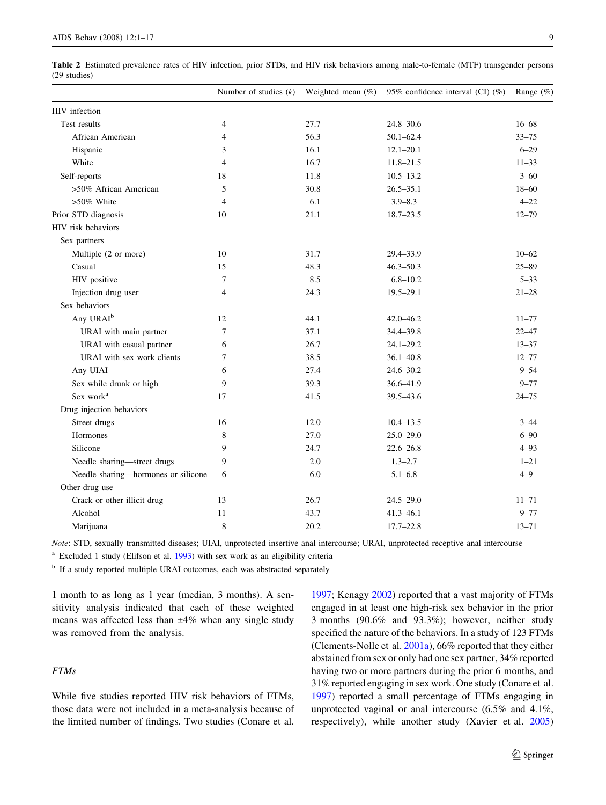Table 2 Estimated prevalence rates of HIV infection, prior STDs, and HIV risk behaviors among male-to-female (MTF) transgender persons (29 studies)

|                                     | Number of studies $(k)$ |      | Weighted mean $(\%)$ 95% confidence interval (CI) $(\%)$ | Range $(\%)$ |
|-------------------------------------|-------------------------|------|----------------------------------------------------------|--------------|
| HIV infection                       |                         |      |                                                          |              |
| Test results                        | $\overline{4}$          | 27.7 | $24.8 - 30.6$                                            | $16 - 68$    |
| African American                    | $\overline{4}$          | 56.3 | $50.1 - 62.4$                                            | $33 - 75$    |
| Hispanic                            | 3                       | 16.1 | $12.1 - 20.1$                                            | $6 - 29$     |
| White                               | $\overline{4}$          | 16.7 | $11.8 - 21.5$                                            | $11 - 33$    |
| Self-reports                        | 18                      | 11.8 | $10.5 - 13.2$                                            | $3 - 60$     |
| >50% African American               | 5                       | 30.8 | $26.5 - 35.1$                                            | $18 - 60$    |
| $>50\%$ White                       | $\overline{4}$          | 6.1  | $3.9 - 8.3$                                              | $4 - 22$     |
| Prior STD diagnosis                 | 10                      | 21.1 | $18.7 - 23.5$                                            | $12 - 79$    |
| HIV risk behaviors                  |                         |      |                                                          |              |
| Sex partners                        |                         |      |                                                          |              |
| Multiple (2 or more)                | 10                      | 31.7 | 29.4-33.9                                                | $10 - 62$    |
| Casual                              | 15                      | 48.3 | $46.3 - 50.3$                                            | $25 - 89$    |
| HIV positive                        | $\tau$                  | 8.5  | $6.8 - 10.2$                                             | $5 - 33$     |
| Injection drug user                 | $\overline{4}$          | 24.3 | $19.5 - 29.1$                                            | $21 - 28$    |
| Sex behaviors                       |                         |      |                                                          |              |
| Any URAI <sup>b</sup>               | 12                      | 44.1 | $42.0 - 46.2$                                            | $11 - 77$    |
| URAI with main partner              | 7                       | 37.1 | 34.4-39.8                                                | $22 - 47$    |
| URAI with casual partner            | 6                       | 26.7 | $24.1 - 29.2$                                            | $13 - 37$    |
| URAI with sex work clients          | 7                       | 38.5 | $36.1 - 40.8$                                            | $12 - 77$    |
| Any UIAI                            | 6                       | 27.4 | $24.6 - 30.2$                                            | $9 - 54$     |
| Sex while drunk or high             | 9                       | 39.3 | $36.6 - 41.9$                                            | $9 - 77$     |
| Sex work <sup>a</sup>               | 17                      | 41.5 | 39.5-43.6                                                | $24 - 75$    |
| Drug injection behaviors            |                         |      |                                                          |              |
| Street drugs                        | 16                      | 12.0 | $10.4 - 13.5$                                            | $3 - 44$     |
| Hormones                            | 8                       | 27.0 | $25.0 - 29.0$                                            | $6 - 90$     |
| Silicone                            | 9                       | 24.7 | $22.6 - 26.8$                                            | $4 - 93$     |
| Needle sharing-street drugs         | 9                       | 2.0  | $1.3 - 2.7$                                              | $1 - 21$     |
| Needle sharing-hormones or silicone | 6                       | 6.0  | $5.1 - 6.8$                                              | $4 - 9$      |
| Other drug use                      |                         |      |                                                          |              |
| Crack or other illicit drug         | 13                      | 26.7 | $24.5 - 29.0$                                            | $11 - 71$    |
| Alcohol                             | 11                      | 43.7 | $41.3 - 46.1$                                            | $9 - 77$     |
| Marijuana                           | 8                       | 20.2 | $17.7 - 22.8$                                            | $13 - 71$    |
|                                     |                         |      |                                                          |              |

Note: STD, sexually transmitted diseases; UIAI, unprotected insertive anal intercourse; URAI, unprotected receptive anal intercourse

<sup>a</sup> Excluded 1 study (Elifson et al. [1993\)](#page-14-0) with sex work as an eligibility criteria

<sup>b</sup> If a study reported multiple URAI outcomes, each was abstracted separately

1 month to as long as 1 year (median, 3 months). A sensitivity analysis indicated that each of these weighted means was affected less than  $\pm 4\%$  when any single study was removed from the analysis.

## FTMs

While five studies reported HIV risk behaviors of FTMs, those data were not included in a meta-analysis because of the limited number of findings. Two studies (Conare et al.

[1997](#page-14-0); Kenagy [2002\)](#page-14-0) reported that a vast majority of FTMs engaged in at least one high-risk sex behavior in the prior 3 months (90.6% and 93.3%); however, neither study specified the nature of the behaviors. In a study of 123 FTMs (Clements-Nolle et al. [2001a\)](#page-14-0), 66% reported that they either abstained from sex or only had one sex partner, 34% reported having two or more partners during the prior 6 months, and 31% reported engaging in sex work. One study (Conare et al. [1997](#page-14-0)) reported a small percentage of FTMs engaging in unprotected vaginal or anal intercourse (6.5% and 4.1%, respectively), while another study (Xavier et al. [2005\)](#page-16-0)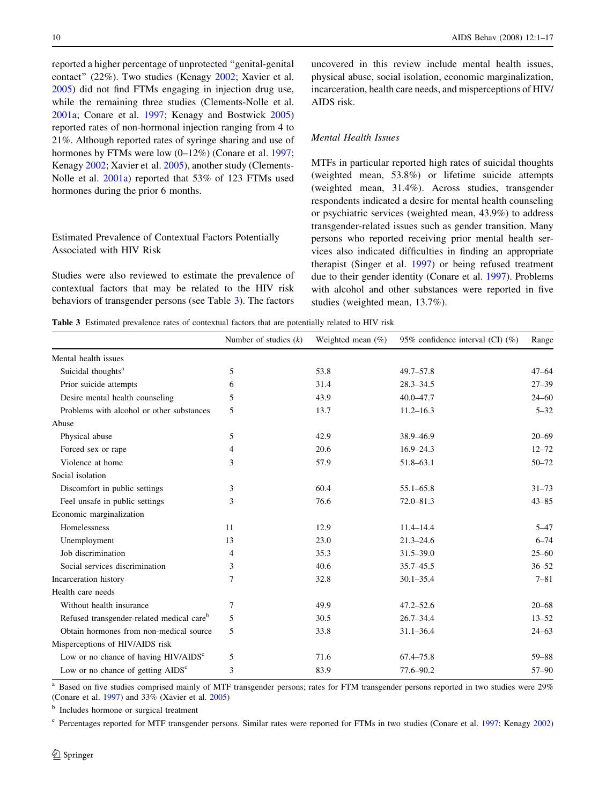reported a higher percentage of unprotected ''genital-genital contact'' (22%). Two studies (Kenagy [2002](#page-14-0); Xavier et al. [2005\)](#page-16-0) did not find FTMs engaging in injection drug use, while the remaining three studies (Clements-Nolle et al. [2001a](#page-14-0); Conare et al. [1997](#page-14-0); Kenagy and Bostwick [2005\)](#page-14-0) reported rates of non-hormonal injection ranging from 4 to 21%. Although reported rates of syringe sharing and use of hormones by FTMs were low  $(0-12\%)$  (Conare et al. [1997](#page-14-0); Kenagy [2002](#page-14-0); Xavier et al. [2005\)](#page-16-0), another study (Clements-Nolle et al. [2001a\)](#page-14-0) reported that 53% of 123 FTMs used hormones during the prior 6 months.

## Estimated Prevalence of Contextual Factors Potentially Associated with HIV Risk

Studies were also reviewed to estimate the prevalence of contextual factors that may be related to the HIV risk behaviors of transgender persons (see Table 3). The factors

uncovered in this review include mental health issues, physical abuse, social isolation, economic marginalization, incarceration, health care needs, and misperceptions of HIV/ AIDS risk.

## Mental Health Issues

MTFs in particular reported high rates of suicidal thoughts (weighted mean, 53.8%) or lifetime suicide attempts (weighted mean, 31.4%). Across studies, transgender respondents indicated a desire for mental health counseling or psychiatric services (weighted mean, 43.9%) to address transgender-related issues such as gender transition. Many persons who reported receiving prior mental health services also indicated difficulties in finding an appropriate therapist (Singer et al. [1997](#page-16-0)) or being refused treatment due to their gender identity (Conare et al. [1997\)](#page-14-0). Problems with alcohol and other substances were reported in five studies (weighted mean, 13.7%).

Table 3 Estimated prevalence rates of contextual factors that are potentially related to HIV risk

|                                                       | Number of studies $(k)$ | Weighted mean $(\%)$ | 95% confidence interval (CI) (%) | Range     |
|-------------------------------------------------------|-------------------------|----------------------|----------------------------------|-----------|
| Mental health issues                                  |                         |                      |                                  |           |
| Suicidal thoughts <sup>a</sup>                        | 5                       | 53.8                 | $49.7 - 57.8$                    | $47 - 64$ |
| Prior suicide attempts                                | 6                       | 31.4                 | $28.3 - 34.5$                    | $27 - 39$ |
| Desire mental health counseling                       | 5                       | 43.9                 | $40.0 - 47.7$                    | $24 - 60$ |
| Problems with alcohol or other substances             | 5                       | 13.7                 | $11.2 - 16.3$                    | $5 - 32$  |
| Abuse                                                 |                         |                      |                                  |           |
| Physical abuse                                        | 5                       | 42.9                 | 38.9-46.9                        | $20 - 69$ |
| Forced sex or rape                                    | 4                       | 20.6                 | $16.9 - 24.3$                    | $12 - 72$ |
| Violence at home                                      | 3                       | 57.9                 | 51.8-63.1                        | $50 - 72$ |
| Social isolation                                      |                         |                      |                                  |           |
| Discomfort in public settings                         | 3                       | 60.4                 | $55.1 - 65.8$                    | $31 - 73$ |
| Feel unsafe in public settings                        | 3                       | 76.6                 | $72.0 - 81.3$                    | $43 - 85$ |
| Economic marginalization                              |                         |                      |                                  |           |
| Homelessness                                          | 11                      | 12.9                 | $11.4 - 14.4$                    | $5 - 47$  |
| Unemployment                                          | 13                      | 23.0                 | $21.3 - 24.6$                    | $6 - 74$  |
| Job discrimination                                    | 4                       | 35.3                 | $31.5 - 39.0$                    | $25 - 60$ |
| Social services discrimination                        | 3                       | 40.6                 | $35.7 - 45.5$                    | $36 - 52$ |
| Incarceration history                                 | 7                       | 32.8                 | $30.1 - 35.4$                    | $7 - 81$  |
| Health care needs                                     |                         |                      |                                  |           |
| Without health insurance                              | 7                       | 49.9                 | $47.2 - 52.6$                    | $20 - 68$ |
| Refused transgender-related medical care <sup>b</sup> | 5                       | 30.5                 | $26.7 - 34.4$                    | $13 - 52$ |
| Obtain hormones from non-medical source               | 5                       | 33.8                 | $31.1 - 36.4$                    | $24 - 63$ |
| Misperceptions of HIV/AIDS risk                       |                         |                      |                                  |           |
| Low or no chance of having HIV/AIDS <sup>c</sup>      | 5                       | 71.6                 | $67.4 - 75.8$                    | $59 - 88$ |
| Low or no chance of getting $AIDSc$                   | 3                       | 83.9                 | 77.6-90.2                        | 57-90     |

<sup>a</sup> Based on five studies comprised mainly of MTF transgender persons; rates for FTM transgender persons reported in two studies were 29% (Conare et al. [1997](#page-14-0)) and 33% (Xavier et al. [2005](#page-16-0))

**b** Includes hormone or surgical treatment

<sup>c</sup> Percentages reported for MTF transgender persons. Similar rates were reported for FTMs in two studies (Conare et al. [1997](#page-14-0); Kenagy [2002](#page-14-0))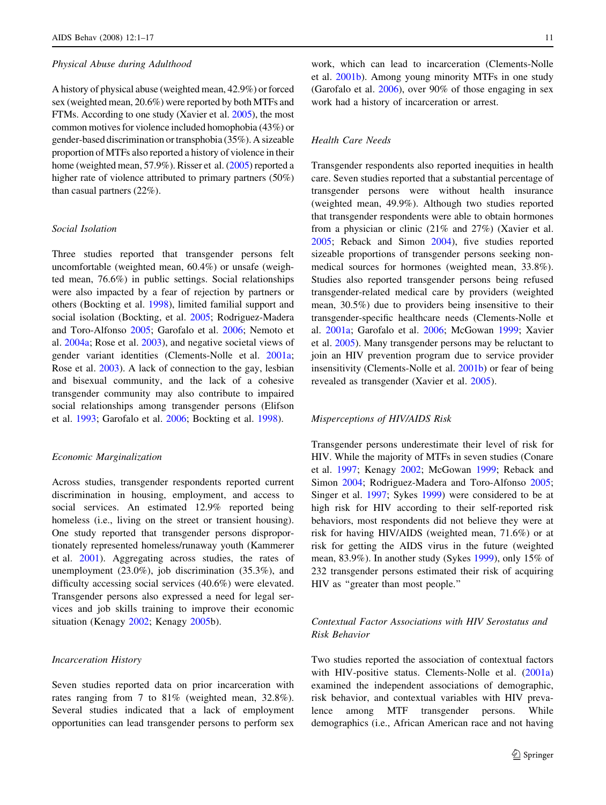#### Physical Abuse during Adulthood

A history of physical abuse (weighted mean, 42.9%) or forced sex (weighted mean, 20.6%) were reported by both MTFs and FTMs. According to one study (Xavier et al. [2005\)](#page-16-0), the most common motives for violence included homophobia (43%) or gender-based discrimination or transphobia (35%). A sizeable proportion of MTFs also reported a history of violence in their home (weighted mean, 57.9%). Risser et al. ([2005](#page-15-0)) reported a higher rate of violence attributed to primary partners (50%) than casual partners (22%).

## Social Isolation

Three studies reported that transgender persons felt uncomfortable (weighted mean, 60.4%) or unsafe (weighted mean, 76.6%) in public settings. Social relationships were also impacted by a fear of rejection by partners or others (Bockting et al. [1998\)](#page-13-0), limited familial support and social isolation (Bockting, et al. [2005;](#page-13-0) Rodriguez-Madera and Toro-Alfonso [2005](#page-15-0); Garofalo et al. [2006;](#page-14-0) Nemoto et al. [2004a;](#page-15-0) Rose et al. [2003](#page-15-0)), and negative societal views of gender variant identities (Clements-Nolle et al. [2001a](#page-14-0); Rose et al. [2003](#page-15-0)). A lack of connection to the gay, lesbian and bisexual community, and the lack of a cohesive transgender community may also contribute to impaired social relationships among transgender persons (Elifson et al. [1993;](#page-14-0) Garofalo et al. [2006](#page-14-0); Bockting et al. [1998](#page-13-0)).

## Economic Marginalization

Across studies, transgender respondents reported current discrimination in housing, employment, and access to social services. An estimated 12.9% reported being homeless (i.e., living on the street or transient housing). One study reported that transgender persons disproportionately represented homeless/runaway youth (Kammerer et al. [2001](#page-14-0)). Aggregating across studies, the rates of unemployment (23.0%), job discrimination (35.3%), and difficulty accessing social services (40.6%) were elevated. Transgender persons also expressed a need for legal services and job skills training to improve their economic situation (Kenagy [2002;](#page-14-0) Kenagy [2005](#page-14-0)b).

## Incarceration History

Seven studies reported data on prior incarceration with rates ranging from 7 to 81% (weighted mean, 32.8%). Several studies indicated that a lack of employment opportunities can lead transgender persons to perform sex

work, which can lead to incarceration (Clements-Nolle et al. [2001b](#page-14-0)). Among young minority MTFs in one study (Garofalo et al. [2006\)](#page-14-0), over 90% of those engaging in sex work had a history of incarceration or arrest.

## Health Care Needs

Transgender respondents also reported inequities in health care. Seven studies reported that a substantial percentage of transgender persons were without health insurance (weighted mean, 49.9%). Although two studies reported that transgender respondents were able to obtain hormones from a physician or clinic (21% and 27%) (Xavier et al. [2005](#page-16-0); Reback and Simon [2004\)](#page-15-0), five studies reported sizeable proportions of transgender persons seeking nonmedical sources for hormones (weighted mean, 33.8%). Studies also reported transgender persons being refused transgender-related medical care by providers (weighted mean, 30.5%) due to providers being insensitive to their transgender-specific healthcare needs (Clements-Nolle et al. [2001a;](#page-14-0) Garofalo et al. [2006](#page-14-0); McGowan [1999;](#page-15-0) Xavier et al. [2005](#page-16-0)). Many transgender persons may be reluctant to join an HIV prevention program due to service provider insensitivity (Clements-Nolle et al. [2001b](#page-14-0)) or fear of being revealed as transgender (Xavier et al. [2005\)](#page-16-0).

#### Misperceptions of HIV/AIDS Risk

Transgender persons underestimate their level of risk for HIV. While the majority of MTFs in seven studies (Conare et al. [1997](#page-14-0); Kenagy [2002;](#page-14-0) McGowan [1999;](#page-15-0) Reback and Simon [2004](#page-15-0); Rodriguez-Madera and Toro-Alfonso [2005](#page-15-0); Singer et al. [1997](#page-16-0); Sykes [1999](#page-16-0)) were considered to be at high risk for HIV according to their self-reported risk behaviors, most respondents did not believe they were at risk for having HIV/AIDS (weighted mean, 71.6%) or at risk for getting the AIDS virus in the future (weighted mean, 83.9%). In another study (Sykes [1999\)](#page-16-0), only 15% of 232 transgender persons estimated their risk of acquiring HIV as ''greater than most people.''

# Contextual Factor Associations with HIV Serostatus and Risk Behavior

Two studies reported the association of contextual factors with HIV-positive status. Clements-Nolle et al. [\(2001a\)](#page-14-0) examined the independent associations of demographic, risk behavior, and contextual variables with HIV prevalence among MTF transgender persons. While demographics (i.e., African American race and not having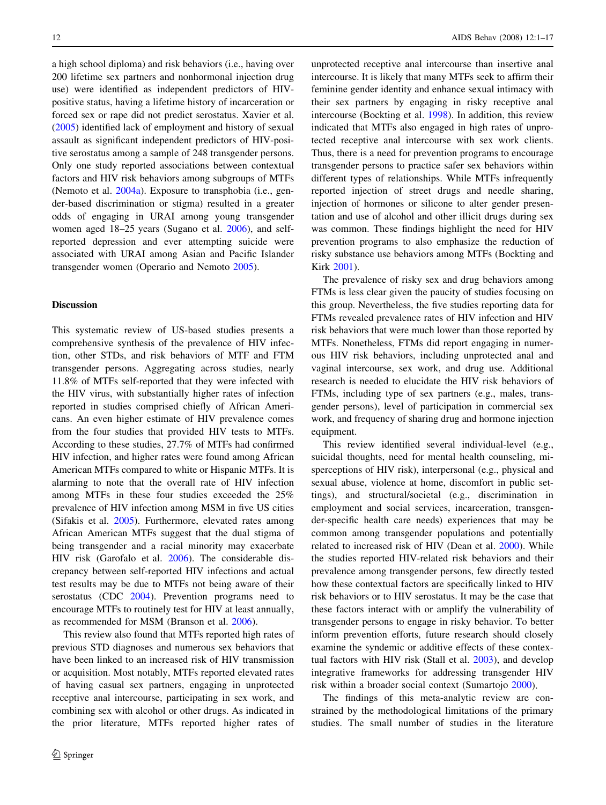a high school diploma) and risk behaviors (i.e., having over 200 lifetime sex partners and nonhormonal injection drug use) were identified as independent predictors of HIVpositive status, having a lifetime history of incarceration or forced sex or rape did not predict serostatus. Xavier et al. [\(2005](#page-16-0)) identified lack of employment and history of sexual assault as significant independent predictors of HIV-positive serostatus among a sample of 248 transgender persons. Only one study reported associations between contextual factors and HIV risk behaviors among subgroups of MTFs (Nemoto et al. [2004a](#page-15-0)). Exposure to transphobia (i.e., gender-based discrimination or stigma) resulted in a greater odds of engaging in URAI among young transgender women aged 18–25 years (Sugano et al. [2006\)](#page-16-0), and selfreported depression and ever attempting suicide were associated with URAI among Asian and Pacific Islander transgender women (Operario and Nemoto [2005](#page-15-0)).

#### Discussion

This systematic review of US-based studies presents a comprehensive synthesis of the prevalence of HIV infection, other STDs, and risk behaviors of MTF and FTM transgender persons. Aggregating across studies, nearly 11.8% of MTFs self-reported that they were infected with the HIV virus, with substantially higher rates of infection reported in studies comprised chiefly of African Americans. An even higher estimate of HIV prevalence comes from the four studies that provided HIV tests to MTFs. According to these studies, 27.7% of MTFs had confirmed HIV infection, and higher rates were found among African American MTFs compared to white or Hispanic MTFs. It is alarming to note that the overall rate of HIV infection among MTFs in these four studies exceeded the 25% prevalence of HIV infection among MSM in five US cities (Sifakis et al. [2005](#page-15-0)). Furthermore, elevated rates among African American MTFs suggest that the dual stigma of being transgender and a racial minority may exacerbate HIV risk (Garofalo et al. [2006](#page-14-0)). The considerable discrepancy between self-reported HIV infections and actual test results may be due to MTFs not being aware of their serostatus (CDC [2004\)](#page-14-0). Prevention programs need to encourage MTFs to routinely test for HIV at least annually, as recommended for MSM (Branson et al. [2006\)](#page-13-0).

This review also found that MTFs reported high rates of previous STD diagnoses and numerous sex behaviors that have been linked to an increased risk of HIV transmission or acquisition. Most notably, MTFs reported elevated rates of having casual sex partners, engaging in unprotected receptive anal intercourse, participating in sex work, and combining sex with alcohol or other drugs. As indicated in the prior literature, MTFs reported higher rates of

unprotected receptive anal intercourse than insertive anal intercourse. It is likely that many MTFs seek to affirm their feminine gender identity and enhance sexual intimacy with their sex partners by engaging in risky receptive anal intercourse (Bockting et al. [1998](#page-13-0)). In addition, this review indicated that MTFs also engaged in high rates of unprotected receptive anal intercourse with sex work clients. Thus, there is a need for prevention programs to encourage transgender persons to practice safer sex behaviors within different types of relationships. While MTFs infrequently reported injection of street drugs and needle sharing, injection of hormones or silicone to alter gender presentation and use of alcohol and other illicit drugs during sex was common. These findings highlight the need for HIV prevention programs to also emphasize the reduction of risky substance use behaviors among MTFs (Bockting and Kirk [2001\)](#page-13-0).

The prevalence of risky sex and drug behaviors among FTMs is less clear given the paucity of studies focusing on this group. Nevertheless, the five studies reporting data for FTMs revealed prevalence rates of HIV infection and HIV risk behaviors that were much lower than those reported by MTFs. Nonetheless, FTMs did report engaging in numerous HIV risk behaviors, including unprotected anal and vaginal intercourse, sex work, and drug use. Additional research is needed to elucidate the HIV risk behaviors of FTMs, including type of sex partners (e.g., males, transgender persons), level of participation in commercial sex work, and frequency of sharing drug and hormone injection equipment.

This review identified several individual-level (e.g., suicidal thoughts, need for mental health counseling, misperceptions of HIV risk), interpersonal (e.g., physical and sexual abuse, violence at home, discomfort in public settings), and structural/societal (e.g., discrimination in employment and social services, incarceration, transgender-specific health care needs) experiences that may be common among transgender populations and potentially related to increased risk of HIV (Dean et al. [2000\)](#page-14-0). While the studies reported HIV-related risk behaviors and their prevalence among transgender persons, few directly tested how these contextual factors are specifically linked to HIV risk behaviors or to HIV serostatus. It may be the case that these factors interact with or amplify the vulnerability of transgender persons to engage in risky behavior. To better inform prevention efforts, future research should closely examine the syndemic or additive effects of these contextual factors with HIV risk (Stall et al. [2003](#page-16-0)), and develop integrative frameworks for addressing transgender HIV risk within a broader social context (Sumartojo [2000\)](#page-16-0).

The findings of this meta-analytic review are constrained by the methodological limitations of the primary studies. The small number of studies in the literature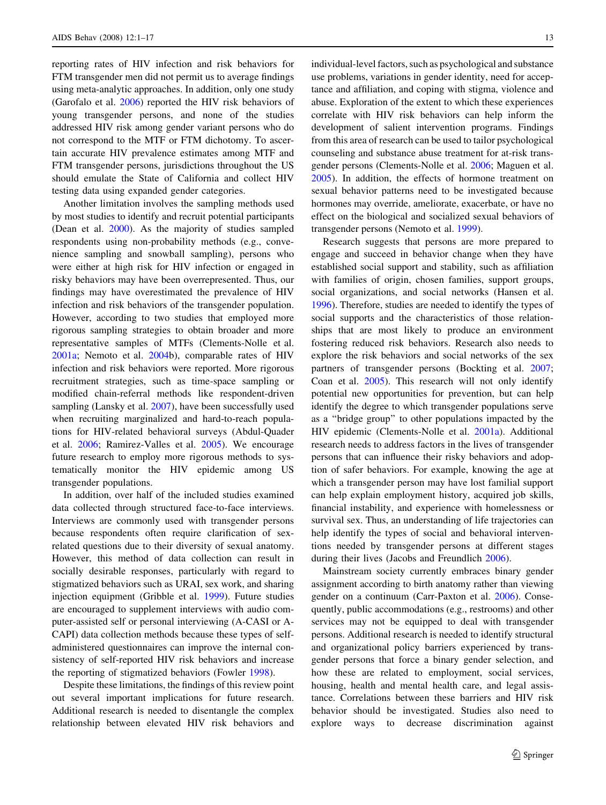reporting rates of HIV infection and risk behaviors for FTM transgender men did not permit us to average findings using meta-analytic approaches. In addition, only one study (Garofalo et al. [2006\)](#page-14-0) reported the HIV risk behaviors of young transgender persons, and none of the studies addressed HIV risk among gender variant persons who do not correspond to the MTF or FTM dichotomy. To ascertain accurate HIV prevalence estimates among MTF and FTM transgender persons, jurisdictions throughout the US should emulate the State of California and collect HIV testing data using expanded gender categories.

Another limitation involves the sampling methods used by most studies to identify and recruit potential participants (Dean et al. [2000](#page-14-0)). As the majority of studies sampled respondents using non-probability methods (e.g., convenience sampling and snowball sampling), persons who were either at high risk for HIV infection or engaged in risky behaviors may have been overrepresented. Thus, our findings may have overestimated the prevalence of HIV infection and risk behaviors of the transgender population. However, according to two studies that employed more rigorous sampling strategies to obtain broader and more representative samples of MTFs (Clements-Nolle et al. [2001a](#page-14-0); Nemoto et al. [2004](#page-15-0)b), comparable rates of HIV infection and risk behaviors were reported. More rigorous recruitment strategies, such as time-space sampling or modified chain-referral methods like respondent-driven sampling (Lansky et al. [2007](#page-14-0)), have been successfully used when recruiting marginalized and hard-to-reach populations for HIV-related behavioral surveys (Abdul-Quader et al. [2006](#page-13-0); Ramirez-Valles et al. [2005\)](#page-15-0). We encourage future research to employ more rigorous methods to systematically monitor the HIV epidemic among US transgender populations.

In addition, over half of the included studies examined data collected through structured face-to-face interviews. Interviews are commonly used with transgender persons because respondents often require clarification of sexrelated questions due to their diversity of sexual anatomy. However, this method of data collection can result in socially desirable responses, particularly with regard to stigmatized behaviors such as URAI, sex work, and sharing injection equipment (Gribble et al. [1999\)](#page-14-0). Future studies are encouraged to supplement interviews with audio computer-assisted self or personal interviewing (A-CASI or A-CAPI) data collection methods because these types of selfadministered questionnaires can improve the internal consistency of self-reported HIV risk behaviors and increase the reporting of stigmatized behaviors (Fowler [1998\)](#page-14-0).

Despite these limitations, the findings of this review point out several important implications for future research. Additional research is needed to disentangle the complex relationship between elevated HIV risk behaviors and individual-level factors, such as psychological and substance use problems, variations in gender identity, need for acceptance and affiliation, and coping with stigma, violence and abuse. Exploration of the extent to which these experiences correlate with HIV risk behaviors can help inform the development of salient intervention programs. Findings from this area of research can be used to tailor psychological counseling and substance abuse treatment for at-risk transgender persons (Clements-Nolle et al. [2006;](#page-14-0) Maguen et al. [2005](#page-15-0)). In addition, the effects of hormone treatment on sexual behavior patterns need to be investigated because hormones may override, ameliorate, exacerbate, or have no effect on the biological and socialized sexual behaviors of transgender persons (Nemoto et al. [1999](#page-15-0)).

Research suggests that persons are more prepared to engage and succeed in behavior change when they have established social support and stability, such as affiliation with families of origin, chosen families, support groups, social organizations, and social networks (Hansen et al. [1996](#page-14-0)). Therefore, studies are needed to identify the types of social supports and the characteristics of those relationships that are most likely to produce an environment fostering reduced risk behaviors. Research also needs to explore the risk behaviors and social networks of the sex partners of transgender persons (Bockting et al. [2007](#page-13-0); Coan et al. [2005](#page-14-0)). This research will not only identify potential new opportunities for prevention, but can help identify the degree to which transgender populations serve as a ''bridge group'' to other populations impacted by the HIV epidemic (Clements-Nolle et al. [2001a\)](#page-14-0). Additional research needs to address factors in the lives of transgender persons that can influence their risky behaviors and adoption of safer behaviors. For example, knowing the age at which a transgender person may have lost familial support can help explain employment history, acquired job skills, financial instability, and experience with homelessness or survival sex. Thus, an understanding of life trajectories can help identify the types of social and behavioral interventions needed by transgender persons at different stages during their lives (Jacobs and Freundlich [2006](#page-14-0)).

Mainstream society currently embraces binary gender assignment according to birth anatomy rather than viewing gender on a continuum (Carr-Paxton et al. [2006](#page-14-0)). Consequently, public accommodations (e.g., restrooms) and other services may not be equipped to deal with transgender persons. Additional research is needed to identify structural and organizational policy barriers experienced by transgender persons that force a binary gender selection, and how these are related to employment, social services, housing, health and mental health care, and legal assistance. Correlations between these barriers and HIV risk behavior should be investigated. Studies also need to explore ways to decrease discrimination against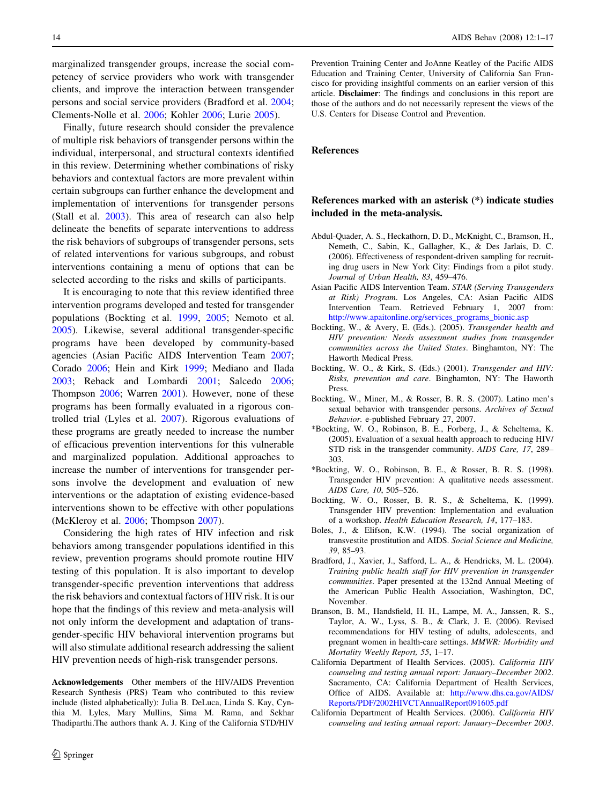<span id="page-13-0"></span>marginalized transgender groups, increase the social competency of service providers who work with transgender clients, and improve the interaction between transgender persons and social service providers (Bradford et al. 2004; Clements-Nolle et al. [2006](#page-14-0); Kohler [2006;](#page-14-0) Lurie [2005\)](#page-15-0).

Finally, future research should consider the prevalence of multiple risk behaviors of transgender persons within the individual, interpersonal, and structural contexts identified in this review. Determining whether combinations of risky behaviors and contextual factors are more prevalent within certain subgroups can further enhance the development and implementation of interventions for transgender persons (Stall et al. [2003](#page-16-0)). This area of research can also help delineate the benefits of separate interventions to address the risk behaviors of subgroups of transgender persons, sets of related interventions for various subgroups, and robust interventions containing a menu of options that can be selected according to the risks and skills of participants.

It is encouraging to note that this review identified three intervention programs developed and tested for transgender populations (Bockting et al. 1999, 2005; Nemoto et al. [2005\)](#page-15-0). Likewise, several additional transgender-specific programs have been developed by community-based agencies (Asian Pacific AIDS Intervention Team 2007; Corado [2006;](#page-14-0) Hein and Kirk [1999;](#page-14-0) Mediano and Ilada [2003;](#page-15-0) Reback and Lombardi [2001;](#page-15-0) Salcedo [2006](#page-15-0); Thompson [2006;](#page-16-0) Warren [2001](#page-16-0)). However, none of these programs has been formally evaluated in a rigorous controlled trial (Lyles et al. [2007](#page-15-0)). Rigorous evaluations of these programs are greatly needed to increase the number of efficacious prevention interventions for this vulnerable and marginalized population. Additional approaches to increase the number of interventions for transgender persons involve the development and evaluation of new interventions or the adaptation of existing evidence-based interventions shown to be effective with other populations (McKleroy et al. [2006](#page-15-0); Thompson [2007\)](#page-16-0).

Considering the high rates of HIV infection and risk behaviors among transgender populations identified in this review, prevention programs should promote routine HIV testing of this population. It is also important to develop transgender-specific prevention interventions that address the risk behaviors and contextual factors of HIV risk. It is our hope that the findings of this review and meta-analysis will not only inform the development and adaptation of transgender-specific HIV behavioral intervention programs but will also stimulate additional research addressing the salient HIV prevention needs of high-risk transgender persons.

Acknowledgements Other members of the HIV/AIDS Prevention Research Synthesis (PRS) Team who contributed to this review include (listed alphabetically): Julia B. DeLuca, Linda S. Kay, Cynthia M. Lyles, Mary Mullins, Sima M. Rama, and Sekhar Thadiparthi.The authors thank A. J. King of the California STD/HIV

Prevention Training Center and JoAnne Keatley of the Pacific AIDS Education and Training Center, University of California San Francisco for providing insightful comments on an earlier version of this article. Disclaimer: The findings and conclusions in this report are those of the authors and do not necessarily represent the views of the U.S. Centers for Disease Control and Prevention.

## References

## References marked with an asterisk (\*) indicate studies included in the meta-analysis.

- Abdul-Quader, A. S., Heckathorn, D. D., McKnight, C., Bramson, H., Nemeth, C., Sabin, K., Gallagher, K., & Des Jarlais, D. C. (2006). Effectiveness of respondent-driven sampling for recruiting drug users in New York City: Findings from a pilot study. Journal of Urban Health, 83, 459–476.
- Asian Pacific AIDS Intervention Team. STAR (Serving Transgenders at Risk) Program. Los Angeles, CA: Asian Pacific AIDS Intervention Team. Retrieved February 1, 2007 from: [http://www.apaitonline.org/services\\_programs\\_bionic.asp](http://www.apaitonline.org/services_programs_bionic.asp)
- Bockting, W., & Avery, E. (Eds.). (2005). Transgender health and HIV prevention: Needs assessment studies from transgender communities across the United States. Binghamton, NY: The Haworth Medical Press.
- Bockting, W. O., & Kirk, S. (Eds.) (2001). Transgender and HIV: Risks, prevention and care. Binghamton, NY: The Haworth Press.
- Bockting, W., Miner, M., & Rosser, B. R. S. (2007). Latino men's sexual behavior with transgender persons. Archives of Sexual Behavior. e-published February 27, 2007.
- \*Bockting, W. O., Robinson, B. E., Forberg, J., & Scheltema, K. (2005). Evaluation of a sexual health approach to reducing HIV/ STD risk in the transgender community. AIDS Care, 17, 289– 303.
- \*Bockting, W. O., Robinson, B. E., & Rosser, B. R. S. (1998). Transgender HIV prevention: A qualitative needs assessment. AIDS Care, 10, 505–526.
- Bockting, W. O., Rosser, B. R. S., & Scheltema, K. (1999). Transgender HIV prevention: Implementation and evaluation of a workshop. Health Education Research, 14, 177–183.
- Boles, J., & Elifson, K.W. (1994). The social organization of transvestite prostitution and AIDS. Social Science and Medicine, 39, 85–93.
- Bradford, J., Xavier, J., Safford, L. A., & Hendricks, M. L. (2004). Training public health staff for HIV prevention in transgender communities. Paper presented at the 132nd Annual Meeting of the American Public Health Association, Washington, DC, November.
- Branson, B. M., Handsfield, H. H., Lampe, M. A., Janssen, R. S., Taylor, A. W., Lyss, S. B., & Clark, J. E. (2006). Revised recommendations for HIV testing of adults, adolescents, and pregnant women in health-care settings. MMWR: Morbidity and Mortality Weekly Report, 55, 1–17.
- California Department of Health Services. (2005). California HIV counseling and testing annual report: January–December 2002. Sacramento, CA: California Department of Health Services, Office of AIDS. Available at: [http://www.dhs.ca.gov/AIDS/](http://www.dhs.ca.gov/AIDS/Reports/PDF/2002HIVCTAnnualReport091605.pdf) [Reports/PDF/2002HIVCTAnnualReport091605.pdf](http://www.dhs.ca.gov/AIDS/Reports/PDF/2002HIVCTAnnualReport091605.pdf)
- California Department of Health Services. (2006). California HIV counseling and testing annual report: January–December 2003.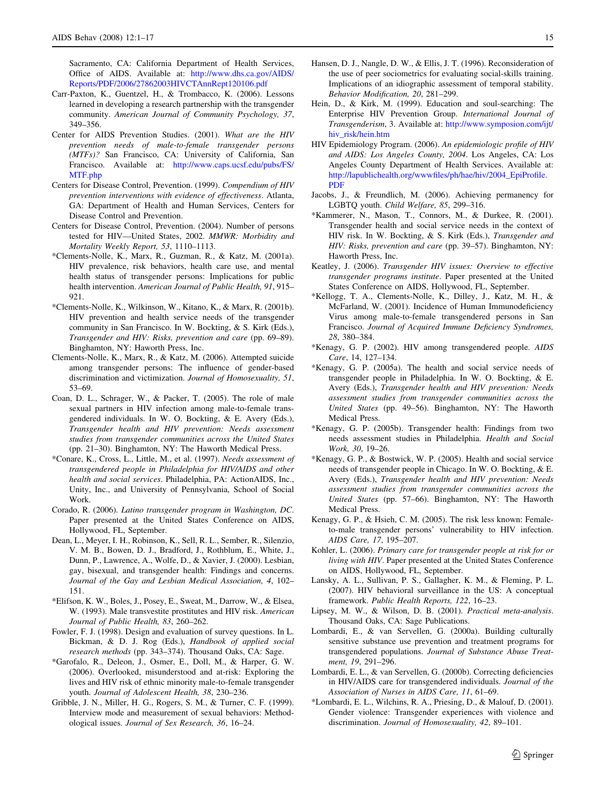<span id="page-14-0"></span>Sacramento, CA: California Department of Health Services, Office of AIDS. Available at: [http://www.dhs.ca.gov/AIDS/](http://www.dhs.ca.gov/AIDS/Reports/PDF/2006/27862003HIVCTAnnRept120106.pdf) [Reports/PDF/2006/27862003HIVCTAnnRept120106.pdf](http://www.dhs.ca.gov/AIDS/Reports/PDF/2006/27862003HIVCTAnnRept120106.pdf)

- Carr-Paxton, K., Guentzel, H., & Trombacco, K. (2006). Lessons learned in developing a research partnership with the transgender community. American Journal of Community Psychology, 37, 349–356.
- Center for AIDS Prevention Studies. (2001). What are the HIV prevention needs of male-to-female transgender persons (MTFs)? San Francisco, CA: University of California, San Francisco. Available at: [http://www.caps.ucsf.edu/pubs/FS/](http://www.caps.ucsf.edu/pubs/FS/MTF.php) [MTF.php](http://www.caps.ucsf.edu/pubs/FS/MTF.php)
- Centers for Disease Control, Prevention. (1999). Compendium of HIV prevention interventions with evidence of effectiveness. Atlanta, GA: Department of Health and Human Services, Centers for Disease Control and Prevention.
- Centers for Disease Control, Prevention. (2004). Number of persons tested for HIV—United States, 2002. MMWR: Morbidity and Mortality Weekly Report, 53, 1110–1113.
- \*Clements-Nolle, K., Marx, R., Guzman, R., & Katz, M. (2001a). HIV prevalence, risk behaviors, health care use, and mental health status of transgender persons: Implications for public health intervention. American Journal of Public Health, 91, 915– 921.
- \*Clements-Nolle, K., Wilkinson, W., Kitano, K., & Marx, R. (2001b). HIV prevention and health service needs of the transgender community in San Francisco. In W. Bockting, & S. Kirk (Eds.), Transgender and HIV: Risks, prevention and care (pp. 69–89). Binghamton, NY: Haworth Press, Inc.
- Clements-Nolle, K., Marx, R., & Katz, M. (2006). Attempted suicide among transgender persons: The influence of gender-based discrimination and victimization. Journal of Homosexuality, 51, 53–69.
- Coan, D. L., Schrager, W., & Packer, T. (2005). The role of male sexual partners in HIV infection among male-to-female transgendered individuals. In W. O. Bockting, & E. Avery (Eds.), Transgender health and HIV prevention: Needs assessment studies from transgender communities across the United States (pp. 21–30). Binghamton, NY: The Haworth Medical Press.
- \*Conare, K., Cross, L., Little, M., et al. (1997). Needs assessment of transgendered people in Philadelphia for HIV/AIDS and other health and social services. Philadelphia, PA: ActionAIDS, Inc., Unity, Inc., and University of Pennsylvania, School of Social Work.
- Corado, R. (2006). Latino transgender program in Washington, DC. Paper presented at the United States Conference on AIDS, Hollywood, FL, September.
- Dean, L., Meyer, I. H., Robinson, K., Sell, R. L., Sember, R., Silenzio, V. M. B., Bowen, D. J., Bradford, J., Rothblum, E., White, J., Dunn, P., Lawrence, A., Wolfe, D., & Xavier, J. (2000). Lesbian, gay, bisexual, and transgender health: Findings and concerns. Journal of the Gay and Lesbian Medical Association, 4, 102– 151.
- \*Elifson, K. W., Boles, J., Posey, E., Sweat, M., Darrow, W., & Elsea, W. (1993). Male transvestite prostitutes and HIV risk. American Journal of Public Health, 83, 260–262.
- Fowler, F. J. (1998). Design and evaluation of survey questions. In L. Bickman, & D. J. Rog (Eds.), Handbook of applied social research methods (pp. 343–374). Thousand Oaks, CA: Sage.
- \*Garofalo, R., Deleon, J., Osmer, E., Doll, M., & Harper, G. W. (2006). Overlooked, misunderstood and at-risk: Exploring the lives and HIV risk of ethnic minority male-to-female transgender youth. Journal of Adolescent Health, 38, 230–236.
- Gribble, J. N., Miller, H. G., Rogers, S. M., & Turner, C. F. (1999). Interview mode and measurement of sexual behaviors: Methodological issues. Journal of Sex Research, 36, 16–24.
- Hansen, D. J., Nangle, D. W., & Ellis, J. T. (1996). Reconsideration of the use of peer sociometrics for evaluating social-skills training. Implications of an idiographic assessment of temporal stability. Behavior Modification, 20, 281–299.
- Hein, D., & Kirk, M. (1999). Education and soul-searching: The Enterprise HIV Prevention Group. International Journal of Transgenderism, 3. Available at: [http://www.symposion.com/ijt/](http://www.symposion.com/ijt/hiv_risk/hein.htm) [hiv\\_risk/hein.htm](http://www.symposion.com/ijt/hiv_risk/hein.htm)
- HIV Epidemiology Program. (2006). An epidemiologic profile of HIV and AIDS: Los Angeles County, 2004. Los Angeles, CA: Los Angeles County Department of Health Services. Available at: [http://lapublichealth.org/wwwfiles/ph/hae/hiv/2004\\_EpiProfile.](http://lapublichealth.org/wwwfiles/ph/hae/hiv/2004_EpiProfile.PDF) [PDF](http://lapublichealth.org/wwwfiles/ph/hae/hiv/2004_EpiProfile.PDF)
- Jacobs, J., & Freundlich, M. (2006). Achieving permanency for LGBTQ youth. Child Welfare, 85, 299–316.
- \*Kammerer, N., Mason, T., Connors, M., & Durkee, R. (2001). Transgender health and social service needs in the context of HIV risk. In W. Bockting, & S. Kirk (Eds.), Transgender and HIV: Risks, prevention and care (pp. 39–57). Binghamton, NY: Haworth Press, Inc.
- Keatley, J. (2006). Transgender HIV issues: Overview to effective transgender programs institute. Paper presented at the United States Conference on AIDS, Hollywood, FL, September.
- \*Kellogg, T. A., Clements-Nolle, K., Dilley, J., Katz, M. H., & McFarland, W. (2001). Incidence of Human Immunodeficiency Virus among male-to-female transgendered persons in San Francisco. Journal of Acquired Immune Deficiency Syndromes, 28, 380–384.
- \*Kenagy, G. P. (2002). HIV among transgendered people. AIDS Care, 14, 127–134.
- \*Kenagy, G. P. (2005a). The health and social service needs of transgender people in Philadelphia. In W. O. Bockting, & E. Avery (Eds.), Transgender health and HIV prevention: Needs assessment studies from transgender communities across the United States (pp. 49–56). Binghamton, NY: The Haworth Medical Press.
- \*Kenagy, G. P. (2005b). Transgender health: Findings from two needs assessment studies in Philadelphia. Health and Social Work, 30, 19–26.
- \*Kenagy, G. P., & Bostwick, W. P. (2005). Health and social service needs of transgender people in Chicago. In W. O. Bockting, & E. Avery (Eds.), Transgender health and HIV prevention: Needs assessment studies from transgender communities across the United States (pp. 57–66). Binghamton, NY: The Haworth Medical Press.
- Kenagy, G. P., & Hsieh, C. M. (2005). The risk less known: Femaleto-male transgender persons' vulnerability to HIV infection. AIDS Care, 17, 195–207.
- Kohler, L. (2006). Primary care for transgender people at risk for or living with HIV. Paper presented at the United States Conference on AIDS, Hollywood, FL, September.
- Lansky, A. L., Sullivan, P. S., Gallagher, K. M., & Fleming, P. L. (2007). HIV behavioral surveillance in the US: A conceptual framework. Public Health Reports, 122, 16–23.
- Lipsey, M. W., & Wilson, D. B. (2001). Practical meta-analysis. Thousand Oaks, CA: Sage Publications.
- Lombardi, E., & van Servellen, G. (2000a). Building culturally sensitive substance use prevention and treatment programs for transgendered populations. Journal of Substance Abuse Treatment, 19, 291–296.
- Lombardi, E. L., & van Servellen, G. (2000b). Correcting deficiencies in HIV/AIDS care for transgendered individuals. Journal of the Association of Nurses in AIDS Care, 11, 61–69.
- \*Lombardi, E. L., Wilchins, R. A., Priesing, D., & Malouf, D. (2001). Gender violence: Transgender experiences with violence and discrimination. Journal of Homosexuality, 42, 89–101.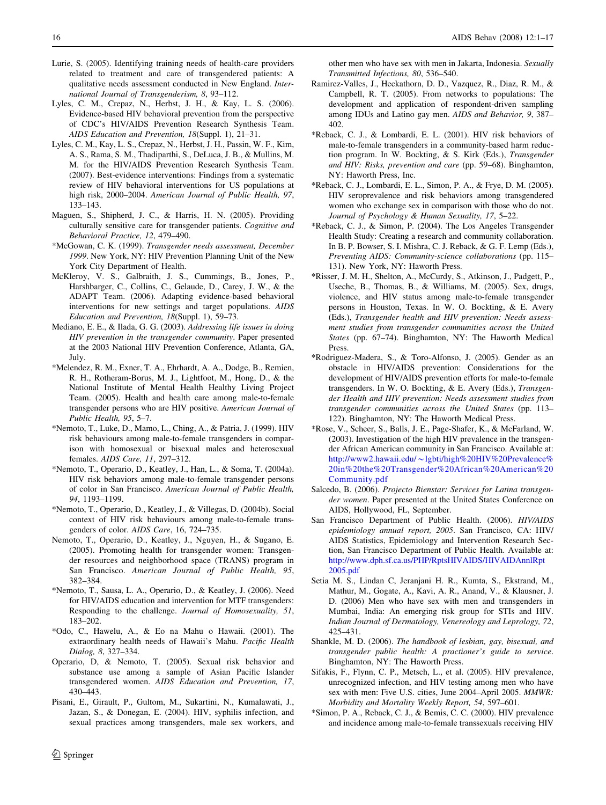- <span id="page-15-0"></span>Lurie, S. (2005). Identifying training needs of health-care providers related to treatment and care of transgendered patients: A qualitative needs assessment conducted in New England. International Journal of Transgenderism, 8, 93–112.
- Lyles, C. M., Crepaz, N., Herbst, J. H., & Kay, L. S. (2006). Evidence-based HIV behavioral prevention from the perspective of CDC's HIV/AIDS Prevention Research Synthesis Team. AIDS Education and Prevention, 18(Suppl. 1), 21–31.
- Lyles, C. M., Kay, L. S., Crepaz, N., Herbst, J. H., Passin, W. F., Kim, A. S., Rama, S. M., Thadiparthi, S., DeLuca, J. B., & Mullins, M. M. for the HIV/AIDS Prevention Research Synthesis Team. (2007). Best-evidence interventions: Findings from a systematic review of HIV behavioral interventions for US populations at high risk, 2000–2004. American Journal of Public Health, 97, 133–143.
- Maguen, S., Shipherd, J. C., & Harris, H. N. (2005). Providing culturally sensitive care for transgender patients. Cognitive and Behavioral Practice, 12, 479–490.
- \*McGowan, C. K. (1999). Transgender needs assessment, December 1999. New York, NY: HIV Prevention Planning Unit of the New York City Department of Health.
- McKleroy, V. S., Galbraith, J. S., Cummings, B., Jones, P., Harshbarger, C., Collins, C., Gelaude, D., Carey, J. W., & the ADAPT Team. (2006). Adapting evidence-based behavioral interventions for new settings and target populations. AIDS Education and Prevention, 18(Suppl. 1), 59–73.
- Mediano, E. E., & Ilada, G. G. (2003). Addressing life issues in doing HIV prevention in the transgender community. Paper presented at the 2003 National HIV Prevention Conference, Atlanta, GA, July.
- \*Melendez, R. M., Exner, T. A., Ehrhardt, A. A., Dodge, B., Remien, R. H., Rotheram-Borus, M. J., Lightfoot, M., Hong, D., & the National Institute of Mental Health Healthy Living Project Team. (2005). Health and health care among male-to-female transgender persons who are HIV positive. American Journal of Public Health, 95, 5–7.
- \*Nemoto, T., Luke, D., Mamo, L., Ching, A., & Patria, J. (1999). HIV risk behaviours among male-to-female transgenders in comparison with homosexual or bisexual males and heterosexual females. AIDS Care, 11, 297–312.
- \*Nemoto, T., Operario, D., Keatley, J., Han, L., & Soma, T. (2004a). HIV risk behaviors among male-to-female transgender persons of color in San Francisco. American Journal of Public Health, 94, 1193–1199.
- \*Nemoto, T., Operario, D., Keatley, J., & Villegas, D. (2004b). Social context of HIV risk behaviours among male-to-female transgenders of color. AIDS Care, 16, 724–735.
- Nemoto, T., Operario, D., Keatley, J., Nguyen, H., & Sugano, E. (2005). Promoting health for transgender women: Transgender resources and neighborhood space (TRANS) program in San Francisco. American Journal of Public Health, 95, 382–384.
- \*Nemoto, T., Sausa, L. A., Operario, D., & Keatley, J. (2006). Need for HIV/AIDS education and intervention for MTF transgenders: Responding to the challenge. Journal of Homosexuality, 51, 183–202.
- \*Odo, C., Hawelu, A., & Eo na Mahu o Hawaii. (2001). The extraordinary health needs of Hawaii's Mahu. Pacific Health Dialog, 8, 327–334.
- Operario, D, & Nemoto, T. (2005). Sexual risk behavior and substance use among a sample of Asian Pacific Islander transgendered women. AIDS Education and Prevention, 17, 430–443.
- Pisani, E., Girault, P., Gultom, M., Sukartini, N., Kumalawati, J., Jazan, S., & Donegan, E. (2004). HIV, syphilis infection, and sexual practices among transgenders, male sex workers, and

other men who have sex with men in Jakarta, Indonesia. Sexually Transmitted Infections, 80, 536–540.

- Ramirez-Valles, J., Heckathorn, D. D., Vazquez, R., Diaz, R. M., & Campbell, R. T. (2005). From networks to populations: The development and application of respondent-driven sampling among IDUs and Latino gay men. AIDS and Behavior, 9, 387– 402.
- \*Reback, C. J., & Lombardi, E. L. (2001). HIV risk behaviors of male-to-female transgenders in a community-based harm reduction program. In W. Bockting, & S. Kirk (Eds.), Transgender and HIV: Risks, prevention and care (pp. 59–68). Binghamton, NY: Haworth Press, Inc.
- \*Reback, C. J., Lombardi, E. L., Simon, P. A., & Frye, D. M. (2005). HIV seroprevalence and risk behaviors among transgendered women who exchange sex in comparison with those who do not. Journal of Psychology & Human Sexuality, 17, 5–22.
- \*Reback, C. J., & Simon, P. (2004). The Los Angeles Transgender Health Study: Creating a research and community collaboration. In B. P. Bowser, S. I. Mishra, C. J. Reback, & G. F. Lemp (Eds.), Preventing AIDS: Community-science collaborations (pp. 115– 131). New York, NY: Haworth Press.
- \*Risser, J. M. H., Shelton, A., McCurdy, S., Atkinson, J., Padgett, P., Useche, B., Thomas, B., & Williams, M. (2005). Sex, drugs, violence, and HIV status among male-to-female transgender persons in Houston, Texas. In W. O. Bockting, & E. Avery (Eds.), Transgender health and HIV prevention: Needs assessment studies from transgender communities across the United States (pp. 67–74). Binghamton, NY: The Haworth Medical Press.
- \*Rodriguez-Madera, S., & Toro-Alfonso, J. (2005). Gender as an obstacle in HIV/AIDS prevention: Considerations for the development of HIV/AIDS prevention efforts for male-to-female transgenders. In W. O. Bockting, & E. Avery (Eds.), Transgender Health and HIV prevention: Needs assessment studies from transgender communities across the United States (pp. 113– 122). Binghamton, NY: The Haworth Medical Press.
- \*Rose, V., Scheer, S., Balls, J. E., Page-Shafer, K., & McFarland, W. (2003). Investigation of the high HIV prevalence in the transgender African American community in San Francisco. Available at: http://www2.hawaii.edu/*\**[lgbti/high%20HIV%20Prevalence%](http://www2.hawaii.edu/~lgbti/high%20HIV%20Prevalence%20in%20the%20Transgender%20African%20American%20Community.pdf) [20in%20the%20Transgender%20African%20American%20](http://www2.hawaii.edu/~lgbti/high%20HIV%20Prevalence%20in%20the%20Transgender%20African%20American%20Community.pdf) [Community.pdf](http://www2.hawaii.edu/~lgbti/high%20HIV%20Prevalence%20in%20the%20Transgender%20African%20American%20Community.pdf)
- Salcedo, B. (2006). Projecto Bienstar: Services for Latina transgender women. Paper presented at the United States Conference on AIDS, Hollywood, FL, September.
- San Francisco Department of Public Health. (2006). HIV/AIDS epidemiology annual report, 2005. San Francisco, CA: HIV/ AIDS Statistics, Epidemiology and Intervention Research Section, San Francisco Department of Public Health. Available at: [http://www.dph.sf.ca.us/PHP/RptsHIVAIDS/HIVAIDAnnlRpt](http://www.dph.sf.ca.us/PHP/RptsHIVAIDS/HIVAIDAnnlRpt2005.pdf) [2005.pdf](http://www.dph.sf.ca.us/PHP/RptsHIVAIDS/HIVAIDAnnlRpt2005.pdf)
- Setia M. S., Lindan C, Jeranjani H. R., Kumta, S., Ekstrand, M., Mathur, M., Gogate, A., Kavi, A. R., Anand, V., & Klausner, J. D. (2006) Men who have sex with men and transgenders in Mumbai, India: An emerging risk group for STIs and HIV. Indian Journal of Dermatology, Venereology and Leprology, 72, 425–431.
- Shankle, M. D. (2006). The handbook of lesbian, gay, bisexual, and transgender public health: A practioner's guide to service. Binghamton, NY: The Haworth Press.
- Sifakis, F., Flynn, C. P., Metsch, L., et al. (2005). HIV prevalence, unrecognized infection, and HIV testing among men who have sex with men: Five U.S. cities, June 2004–April 2005. MMWR: Morbidity and Mortality Weekly Report, 54, 597–601.
- \*Simon, P. A., Reback, C. J., & Bemis, C. C. (2000). HIV prevalence and incidence among male-to-female transsexuals receiving HIV